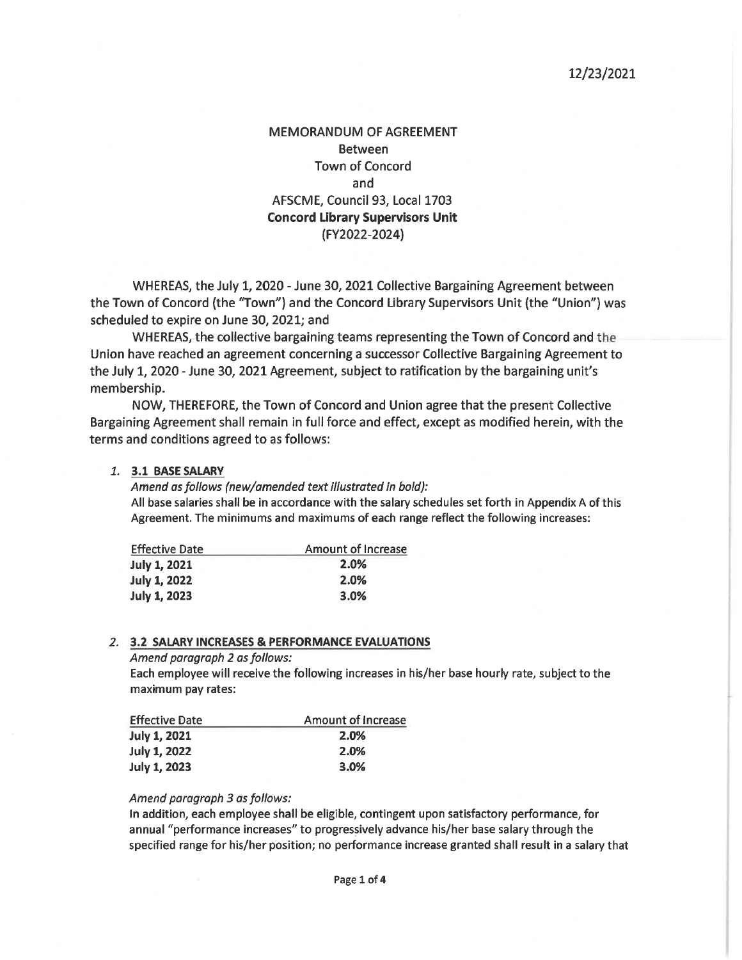#### 12/23/2021

# **MEMORANDUM OF AGREEMENT Between Town of Concord** and AFSCME, Council 93, Local 1703 **Concord Library Supervisors Unit** (FY2022-2024)

WHEREAS, the July 1, 2020 - June 30, 2021 Collective Bargaining Agreement between the Town of Concord (the "Town") and the Concord Library Supervisors Unit (the "Union") was scheduled to expire on June 30, 2021; and

WHEREAS, the collective bargaining teams representing the Town of Concord and the Union have reached an agreement concerning a successor Collective Bargaining Agreement to the July 1, 2020 - June 30, 2021 Agreement, subject to ratification by the bargaining unit's membership.

NOW, THEREFORE, the Town of Concord and Union agree that the present Collective Bargaining Agreement shall remain in full force and effect, except as modified herein, with the terms and conditions agreed to as follows:

#### 1. 3.1 BASE SALARY

Amend as follows (new/amended text illustrated in bold): All base salaries shall be in accordance with the salary schedules set forth in Appendix A of this Agreement. The minimums and maximums of each range reflect the following increases:

| <b>Effective Date</b> | <b>Amount of Increase</b> |  |
|-----------------------|---------------------------|--|
| <b>July 1, 2021</b>   | 2.0%                      |  |
| <b>July 1, 2022</b>   | 2.0%                      |  |
| <b>July 1, 2023</b>   | 3.0%                      |  |

#### 2. 3.2 SALARY INCREASES & PERFORMANCE EVALUATIONS

Amend paragraph 2 as follows: Each employee will receive the following increases in his/her base hourly rate, subject to the maximum pay rates:

| <b>Effective Date</b> | Amount of Increase |  |
|-----------------------|--------------------|--|
| <b>July 1, 2021</b>   | 2.0%               |  |
| July 1, 2022          | 2.0%               |  |
| <b>July 1, 2023</b>   | 3.0%               |  |

#### Amend paragraph 3 as follows:

In addition, each employee shall be eligible, contingent upon satisfactory performance, for annual "performance increases" to progressively advance his/her base salary through the specified range for his/her position; no performance increase granted shall result in a salary that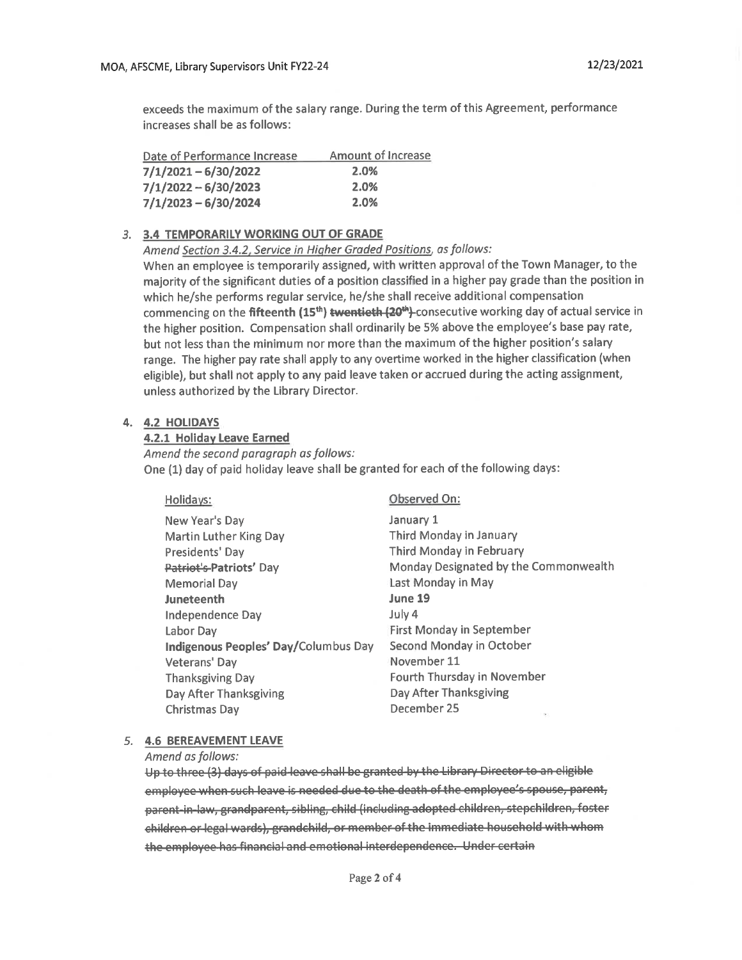exceeds the maximum of the salary range. During the term of this Agreement, performance increases shall be as follows:

| Date of Performance Increase | <b>Amount of Increase</b> |
|------------------------------|---------------------------|
| $7/1/2021 - 6/30/2022$       | 2.0%                      |
| $7/1/2022 - 6/30/2023$       | 2.0%                      |
| $7/1/2023 - 6/30/2024$       | 2.0%                      |

#### 3. 3.4 TEMPORARILY WORKING OUT OF GRADE

Amend Section 3.4.2, Service in Higher Graded Positions, as follows:

When an employee is temporarily assigned, with written approval of the Town Manager, to the majority of the significant duties of a position classified in a higher pay grade than the position in which he/she performs regular service, he/she shall receive additional compensation commencing on the fifteenth (15<sup>th</sup>) twentieth (20<sup>th</sup>)-consecutive working day of actual service in the higher position. Compensation shall ordinarily be 5% above the employee's base pay rate, but not less than the minimum nor more than the maximum of the higher position's salary range. The higher pay rate shall apply to any overtime worked in the higher classification (when eligible), but shall not apply to any paid leave taken or accrued during the acting assignment, unless authorized by the Library Director.

#### 4. 4.2 HOLIDAYS

#### 4.2.1 Holiday Leave Earned

Amend the second paragraph as follows: One (1) day of paid holiday leave shall be granted for each of the following days:

| Holidays:                            | Observed On:                          |
|--------------------------------------|---------------------------------------|
| New Year's Day                       | January 1                             |
| <b>Martin Luther King Day</b>        | Third Monday in January               |
| Presidents' Day                      | Third Monday in February              |
| Patriot's Patriots' Day              | Monday Designated by the Commonwealth |
| <b>Memorial Day</b>                  | Last Monday in May                    |
| Juneteenth                           | June 19                               |
| Independence Day                     | July 4                                |
| Labor Day                            | <b>First Monday in September</b>      |
| Indigenous Peoples' Day/Columbus Day | Second Monday in October              |
| Veterans' Day                        | November 11                           |
| <b>Thanksgiving Day</b>              | Fourth Thursday in November           |
| Day After Thanksgiving               | Day After Thanksgiving                |
| <b>Christmas Day</b>                 | December 25<br>P.                     |
|                                      |                                       |

#### 5. 4.6 BEREAVEMENT LEAVE

Amend as follows:

Up to three (3) days of paid leave shall be granted by the Library Director to an eligible employee when such leave is needed due to the death of the employee's spouse, parent, parent-in-law, grandparent, sibling, child (including adopted children, stepchildren, foster children or legal wards), grandchild, or member of the immediate household with whom the employee has financial and emotional interdependence. Under certain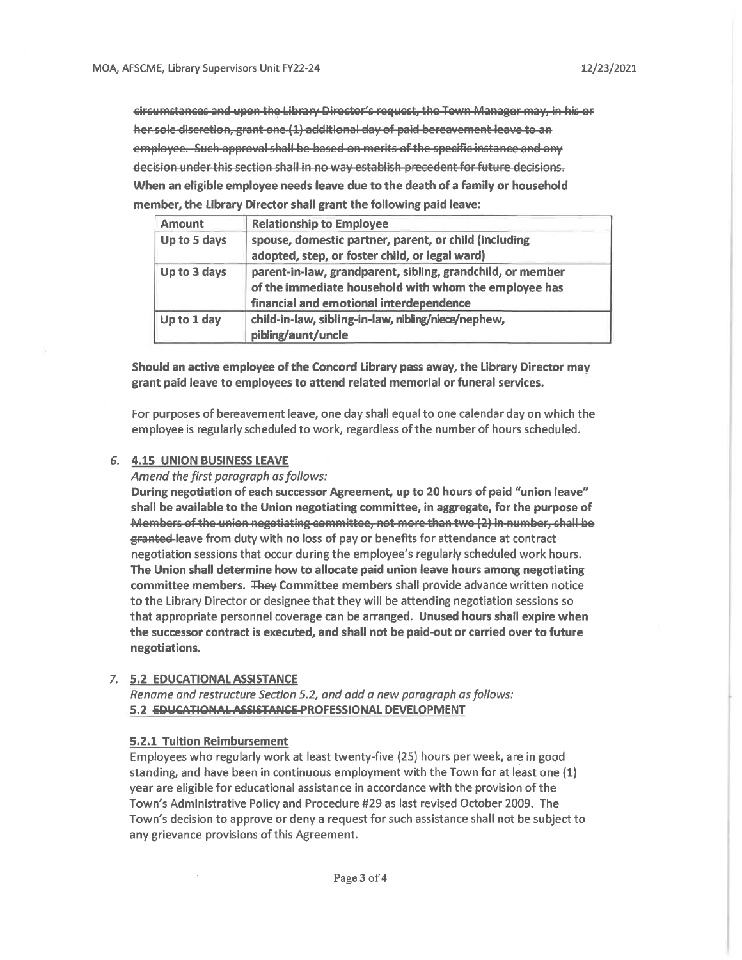circumstances and upon the Library Director's request, the Town Manager may, in his or her sole discretion, grant one (1) additional day of paid bereavement leave to an employee. Such approval shall be based on merits of the specific instance and any decision under this section shall in no way establish precedent for future decisions. When an eligible employee needs leave due to the death of a family or household member, the Library Director shall grant the following paid leave:

| <b>Amount</b> | <b>Relationship to Employee</b>                            |
|---------------|------------------------------------------------------------|
| Up to 5 days  | spouse, domestic partner, parent, or child (including      |
|               | adopted, step, or foster child, or legal ward)             |
| Up to 3 days  | parent-in-law, grandparent, sibling, grandchild, or member |
|               | of the immediate household with whom the employee has      |
|               | financial and emotional interdependence                    |
| Up to 1 day   | child-in-law, sibling-in-law, nibling/niece/nephew,        |
|               | pibling/aunt/uncle                                         |

Should an active employee of the Concord Library pass away, the Library Director may grant paid leave to employees to attend related memorial or funeral services.

For purposes of bereavement leave, one day shall equal to one calendar day on which the employee is regularly scheduled to work, regardless of the number of hours scheduled.

#### 6. 4.15 UNION BUSINESS LEAVE

Amend the first paragraph as follows:

During negotiation of each successor Agreement, up to 20 hours of paid "union leave" shall be available to the Union negotiating committee, in aggregate, for the purpose of Members of the union negotiating committee, not more than two (2) in number, shall be granted-leave from duty with no loss of pay or benefits for attendance at contract negotiation sessions that occur during the employee's regularly scheduled work hours. The Union shall determine how to allocate paid union leave hours among negotiating committee members. They Committee members shall provide advance written notice to the Library Director or designee that they will be attending negotiation sessions so that appropriate personnel coverage can be arranged. Unused hours shall expire when the successor contract is executed, and shall not be paid-out or carried over to future negotiations.

#### 7. 5.2 EDUCATIONAL ASSISTANCE

Rename and restructure Section 5.2, and add a new paragraph as follows: 5.2 EDUCATIONAL ASSISTANCE PROFESSIONAL DEVELOPMENT

#### **5.2.1 Tuition Reimbursement**

Employees who regularly work at least twenty-five (25) hours per week, are in good standing, and have been in continuous employment with the Town for at least one (1) year are eligible for educational assistance in accordance with the provision of the Town's Administrative Policy and Procedure #29 as last revised October 2009. The Town's decision to approve or deny a request for such assistance shall not be subject to any grievance provisions of this Agreement.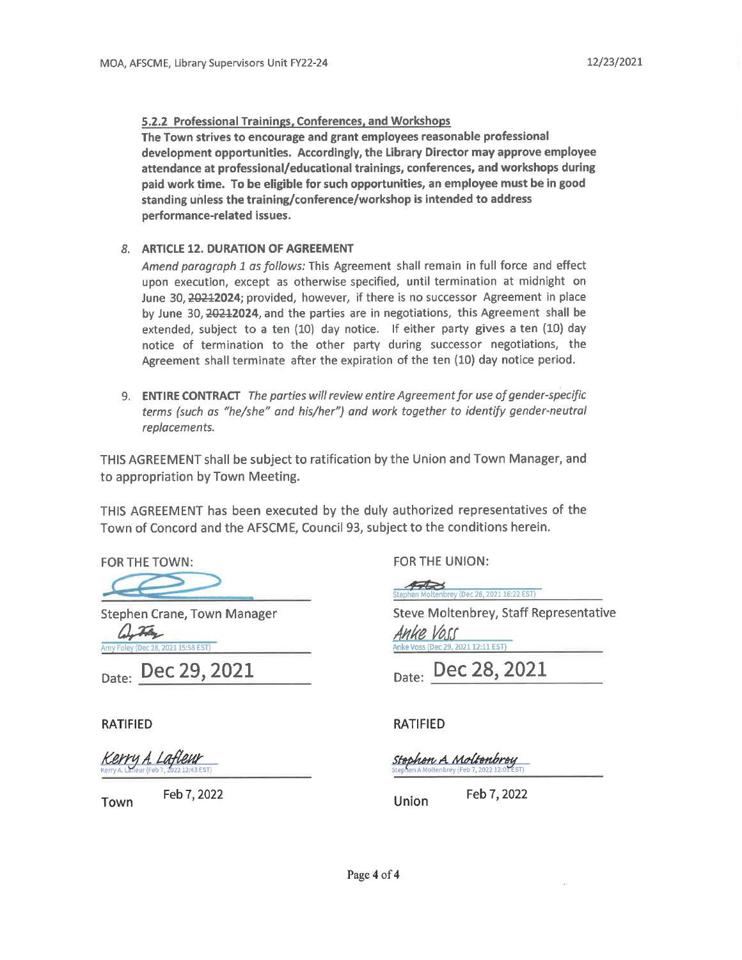#### 5.2.2 Professional Trainings, Conferences, and Workshops

The Town strives to encourage and grant employees reasonable professional development opportunities. Accordingly, the Library Director may approve employee attendance at professional/educational trainings, conferences, and workshops during paid work time. To be eligible for such opportunities, an employee must be in good standing unless the training/conference/workshop is intended to address performance-related issues.

#### 8. ARTICLE 12. DURATION OF AGREEMENT

Amend paragraph 1 as follows: This Agreement shall remain in full force and effect upon execution, except as otherwise specified, until termination at midnight on June 30, 20212024; provided, however, if there is no successor Agreement in place by June 30, 20212024, and the parties are in negotiations, this Agreement shall be extended, subject to a ten (10) day notice. If either party gives a ten (10) day notice of termination to the other party during successor negotiations, the Agreement shall terminate after the expiration of the ten (10) day notice period.

9. ENTIRE CONTRACT The parties will review entire Agreement for use of gender-specific terms (such as "he/she" and his/her") and work together to identify gender-neutral replacements.

THIS AGREEMENT shall be subject to ratification by the Union and Town Manager, and to appropriation by Town Meeting.

THIS AGREEMENT has been executed by the duly authorized representatives of the Town of Concord and the AFSCME, Council 93, subject to the conditions herein.

FOR THE TOWN:

Stephen Crane, Town Manager With

2021 15:58 EST)

Date: Dec 29, 2021

**RATIFIED** 

Town

<u>Kerry A. Lafleur</u>

Feb 7, 2022

FOR THE UNION:

 $450$ Stephen Moltenbrey (Dec 28, 2021 16:22 EST)

**Steve Moltenbrey, Staff Representative** Anke Voss 021 12:11 EST)

Date: Dec 28, 2021

#### **RATIFIED**

<u> Stophon A Moltonbrey</u>

Union

Feb 7, 2022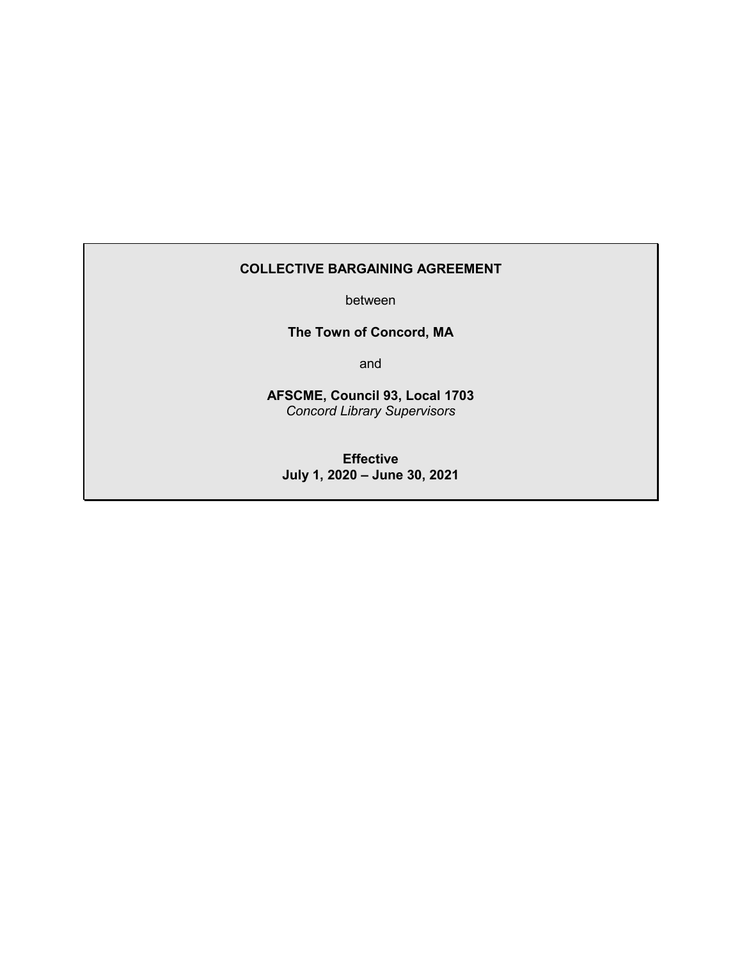# **COLLECTIVE BARGAINING AGREEMENT**

between

**The Town of Concord, MA**

and

**AFSCME, Council 93, Local 1703** *Concord Library Supervisors*

**Effective July 1, 2020 – June 30, 2021**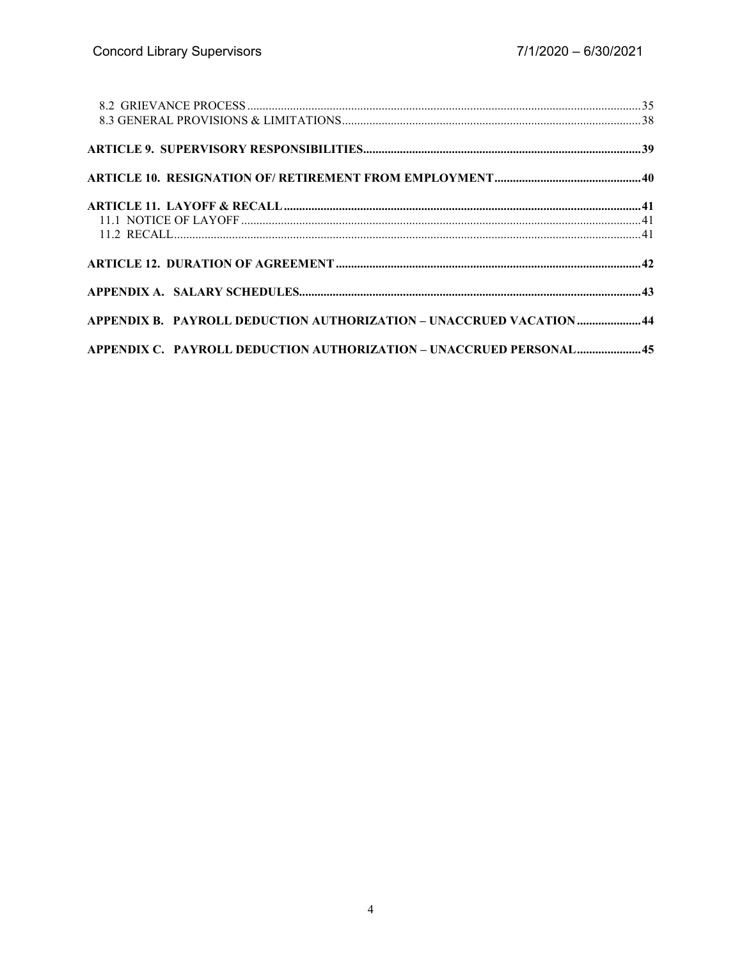| APPENDIX B. PAYROLL DEDUCTION AUTHORIZATION - UNACCRUED VACATION  44 |  |
|----------------------------------------------------------------------|--|
| APPENDIX C. PAYROLL DEDUCTION AUTHORIZATION - UNACCRUED PERSONAL 45  |  |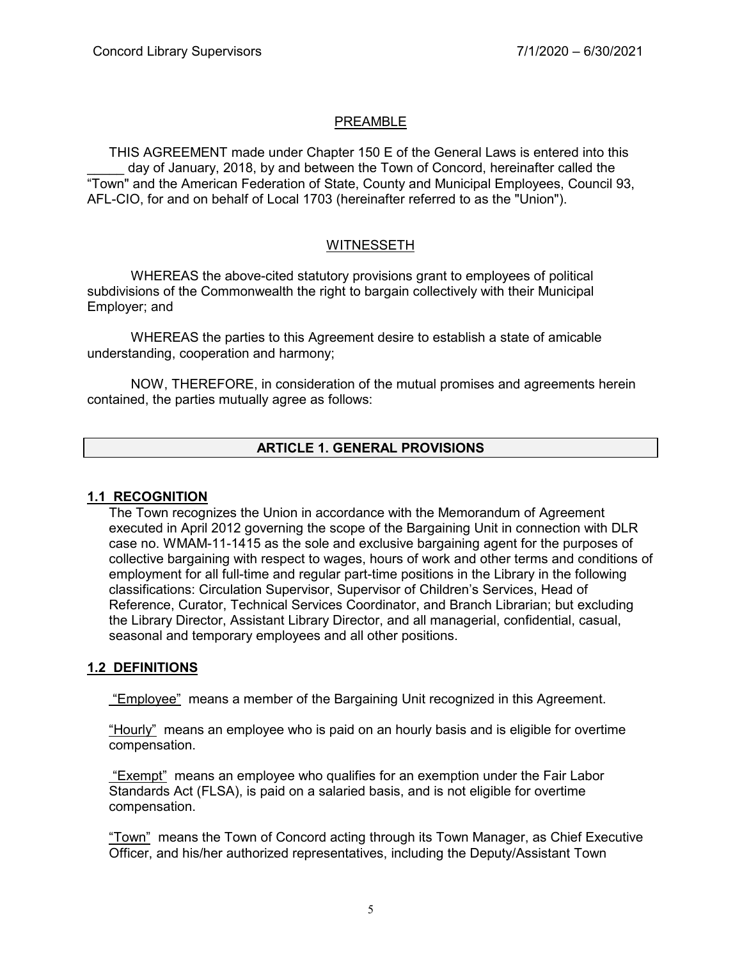# PREAMBLE

THIS AGREEMENT made under Chapter 150 E of the General Laws is entered into this day of January, 2018, by and between the Town of Concord, hereinafter called the "Town" and the American Federation of State, County and Municipal Employees, Council 93, AFL-CIO, for and on behalf of Local 1703 (hereinafter referred to as the "Union").

# WITNESSETH

WHEREAS the above-cited statutory provisions grant to employees of political subdivisions of the Commonwealth the right to bargain collectively with their Municipal Employer; and

WHEREAS the parties to this Agreement desire to establish a state of amicable understanding, cooperation and harmony;

NOW, THEREFORE, in consideration of the mutual promises and agreements herein contained, the parties mutually agree as follows:

# **ARTICLE 1. GENERAL PROVISIONS**

#### **1.1 RECOGNITION**

The Town recognizes the Union in accordance with the Memorandum of Agreement executed in April 2012 governing the scope of the Bargaining Unit in connection with DLR case no. WMAM-11-1415 as the sole and exclusive bargaining agent for the purposes of collective bargaining with respect to wages, hours of work and other terms and conditions of employment for all full-time and regular part-time positions in the Library in the following classifications: Circulation Supervisor, Supervisor of Children's Services, Head of Reference, Curator, Technical Services Coordinator, and Branch Librarian; but excluding the Library Director, Assistant Library Director, and all managerial, confidential, casual, seasonal and temporary employees and all other positions.

#### **1.2 DEFINITIONS**

"Employee" means a member of the Bargaining Unit recognized in this Agreement.

"Hourly" means an employee who is paid on an hourly basis and is eligible for overtime compensation.

"Exempt" means an employee who qualifies for an exemption under the Fair Labor Standards Act (FLSA), is paid on a salaried basis, and is not eligible for overtime compensation.

"Town" means the Town of Concord acting through its Town Manager, as Chief Executive Officer, and his/her authorized representatives, including the Deputy/Assistant Town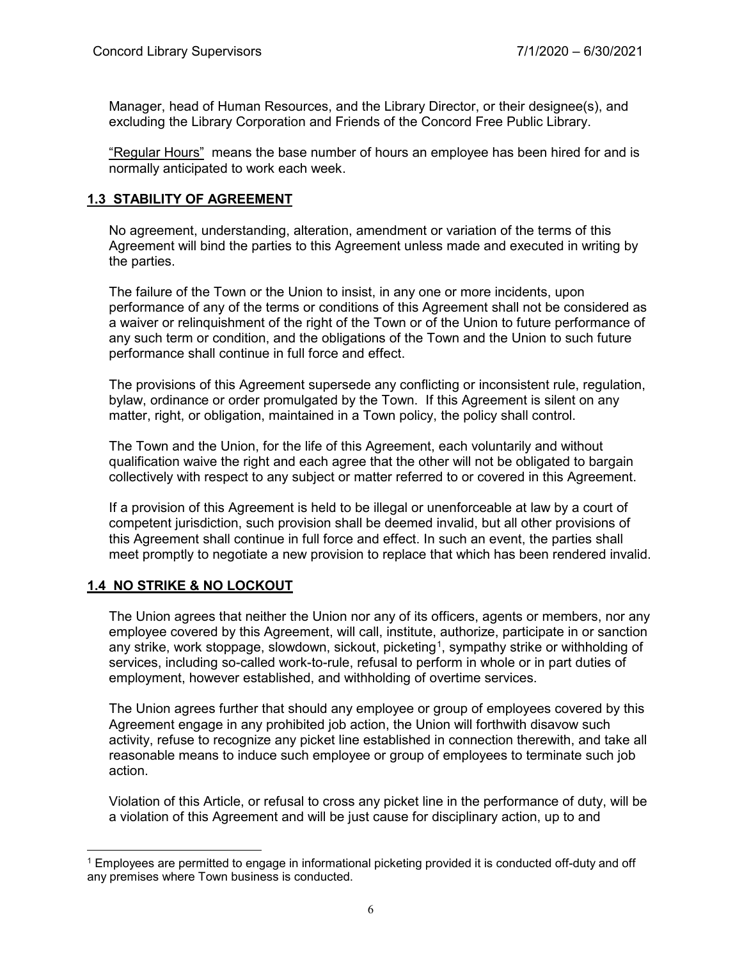Manager, head of Human Resources, and the Library Director, or their designee(s), and excluding the Library Corporation and Friends of the Concord Free Public Library.

"Regular Hours" means the base number of hours an employee has been hired for and is normally anticipated to work each week.

#### **1.3 STABILITY OF AGREEMENT**

No agreement, understanding, alteration, amendment or variation of the terms of this Agreement will bind the parties to this Agreement unless made and executed in writing by the parties.

The failure of the Town or the Union to insist, in any one or more incidents, upon performance of any of the terms or conditions of this Agreement shall not be considered as a waiver or relinquishment of the right of the Town or of the Union to future performance of any such term or condition, and the obligations of the Town and the Union to such future performance shall continue in full force and effect.

The provisions of this Agreement supersede any conflicting or inconsistent rule, regulation, bylaw, ordinance or order promulgated by the Town. If this Agreement is silent on any matter, right, or obligation, maintained in a Town policy, the policy shall control.

The Town and the Union, for the life of this Agreement, each voluntarily and without qualification waive the right and each agree that the other will not be obligated to bargain collectively with respect to any subject or matter referred to or covered in this Agreement.

If a provision of this Agreement is held to be illegal or unenforceable at law by a court of competent jurisdiction, such provision shall be deemed invalid, but all other provisions of this Agreement shall continue in full force and effect. In such an event, the parties shall meet promptly to negotiate a new provision to replace that which has been rendered invalid.

# **1.4 NO STRIKE & NO LOCKOUT**

The Union agrees that neither the Union nor any of its officers, agents or members, nor any employee covered by this Agreement, will call, institute, authorize, participate in or sanction any strike, work stoppage, slowdown, sickout, picketing<sup>[1](#page-9-0)</sup>, sympathy strike or withholding of services, including so-called work-to-rule, refusal to perform in whole or in part duties of employment, however established, and withholding of overtime services.

The Union agrees further that should any employee or group of employees covered by this Agreement engage in any prohibited job action, the Union will forthwith disavow such activity, refuse to recognize any picket line established in connection therewith, and take all reasonable means to induce such employee or group of employees to terminate such job action.

Violation of this Article, or refusal to cross any picket line in the performance of duty, will be a violation of this Agreement and will be just cause for disciplinary action, up to and

<span id="page-9-0"></span> $\overline{a}$ <sup>1</sup> Employees are permitted to engage in informational picketing provided it is conducted off-duty and off any premises where Town business is conducted.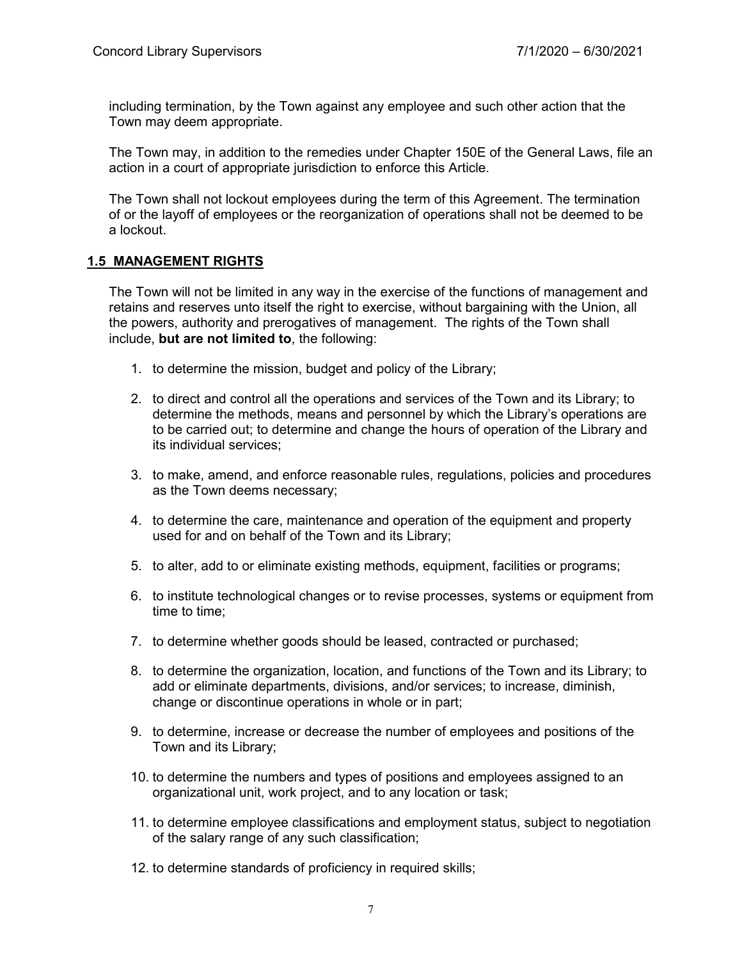including termination, by the Town against any employee and such other action that the Town may deem appropriate.

The Town may, in addition to the remedies under Chapter 150E of the General Laws, file an action in a court of appropriate jurisdiction to enforce this Article.

The Town shall not lockout employees during the term of this Agreement. The termination of or the layoff of employees or the reorganization of operations shall not be deemed to be a lockout.

#### **1.5 MANAGEMENT RIGHTS**

The Town will not be limited in any way in the exercise of the functions of management and retains and reserves unto itself the right to exercise, without bargaining with the Union, all the powers, authority and prerogatives of management. The rights of the Town shall include, **but are not limited to**, the following:

- 1. to determine the mission, budget and policy of the Library;
- 2. to direct and control all the operations and services of the Town and its Library; to determine the methods, means and personnel by which the Library's operations are to be carried out; to determine and change the hours of operation of the Library and its individual services;
- 3. to make, amend, and enforce reasonable rules, regulations, policies and procedures as the Town deems necessary;
- 4. to determine the care, maintenance and operation of the equipment and property used for and on behalf of the Town and its Library;
- 5. to alter, add to or eliminate existing methods, equipment, facilities or programs;
- 6. to institute technological changes or to revise processes, systems or equipment from time to time;
- 7. to determine whether goods should be leased, contracted or purchased;
- 8. to determine the organization, location, and functions of the Town and its Library; to add or eliminate departments, divisions, and/or services; to increase, diminish, change or discontinue operations in whole or in part;
- 9. to determine, increase or decrease the number of employees and positions of the Town and its Library;
- 10. to determine the numbers and types of positions and employees assigned to an organizational unit, work project, and to any location or task;
- 11. to determine employee classifications and employment status, subject to negotiation of the salary range of any such classification;
- 12. to determine standards of proficiency in required skills;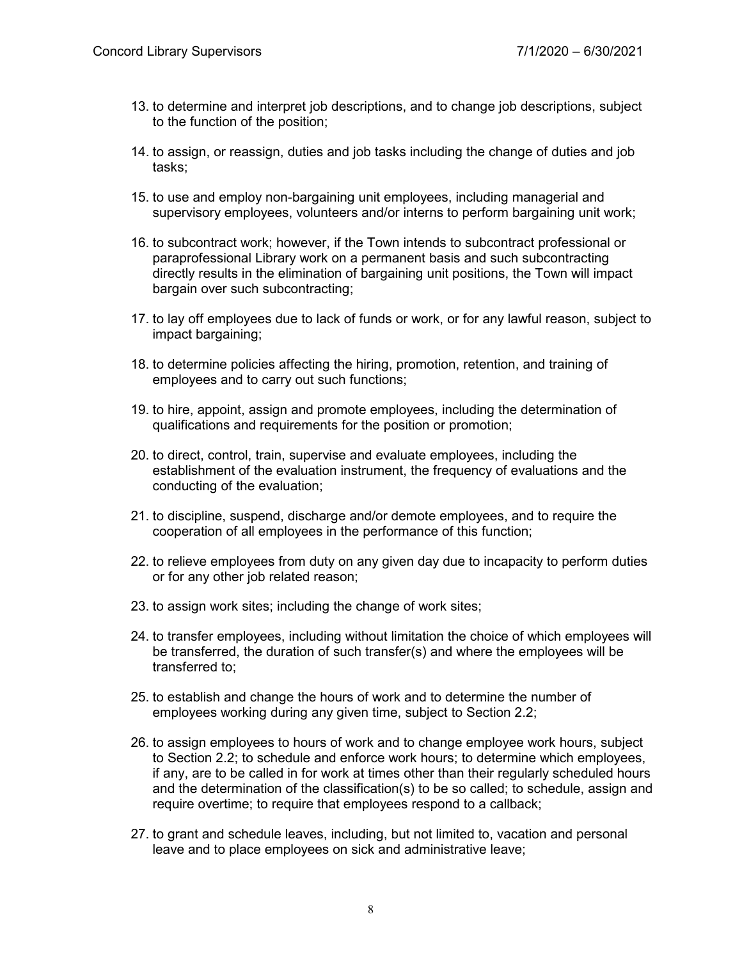- 13. to determine and interpret job descriptions, and to change job descriptions, subject to the function of the position;
- 14. to assign, or reassign, duties and job tasks including the change of duties and job tasks;
- 15. to use and employ non-bargaining unit employees, including managerial and supervisory employees, volunteers and/or interns to perform bargaining unit work;
- 16. to subcontract work; however, if the Town intends to subcontract professional or paraprofessional Library work on a permanent basis and such subcontracting directly results in the elimination of bargaining unit positions, the Town will impact bargain over such subcontracting;
- 17. to lay off employees due to lack of funds or work, or for any lawful reason, subject to impact bargaining;
- 18. to determine policies affecting the hiring, promotion, retention, and training of employees and to carry out such functions;
- 19. to hire, appoint, assign and promote employees, including the determination of qualifications and requirements for the position or promotion;
- 20. to direct, control, train, supervise and evaluate employees, including the establishment of the evaluation instrument, the frequency of evaluations and the conducting of the evaluation;
- 21. to discipline, suspend, discharge and/or demote employees, and to require the cooperation of all employees in the performance of this function;
- 22. to relieve employees from duty on any given day due to incapacity to perform duties or for any other job related reason;
- 23. to assign work sites; including the change of work sites;
- 24. to transfer employees, including without limitation the choice of which employees will be transferred, the duration of such transfer(s) and where the employees will be transferred to;
- 25. to establish and change the hours of work and to determine the number of employees working during any given time, subject to Section 2.2;
- 26. to assign employees to hours of work and to change employee work hours, subject to Section 2.2; to schedule and enforce work hours; to determine which employees, if any, are to be called in for work at times other than their regularly scheduled hours and the determination of the classification(s) to be so called; to schedule, assign and require overtime; to require that employees respond to a callback;
- 27. to grant and schedule leaves, including, but not limited to, vacation and personal leave and to place employees on sick and administrative leave;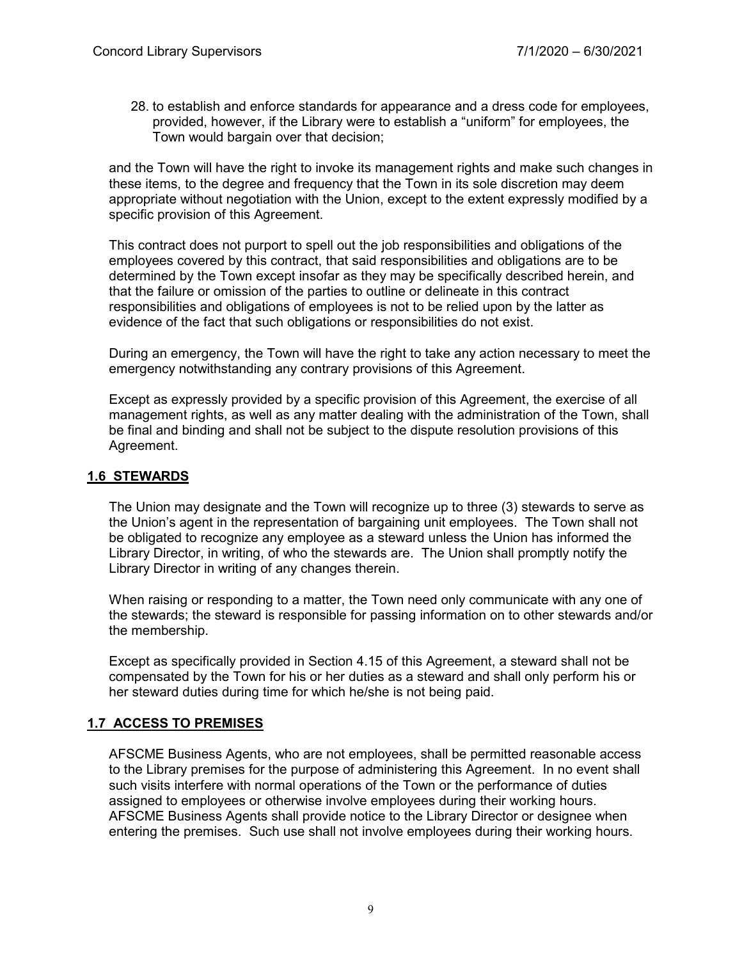28. to establish and enforce standards for appearance and a dress code for employees, provided, however, if the Library were to establish a "uniform" for employees, the Town would bargain over that decision;

and the Town will have the right to invoke its management rights and make such changes in these items, to the degree and frequency that the Town in its sole discretion may deem appropriate without negotiation with the Union, except to the extent expressly modified by a specific provision of this Agreement.

This contract does not purport to spell out the job responsibilities and obligations of the employees covered by this contract, that said responsibilities and obligations are to be determined by the Town except insofar as they may be specifically described herein, and that the failure or omission of the parties to outline or delineate in this contract responsibilities and obligations of employees is not to be relied upon by the latter as evidence of the fact that such obligations or responsibilities do not exist.

During an emergency, the Town will have the right to take any action necessary to meet the emergency notwithstanding any contrary provisions of this Agreement.

Except as expressly provided by a specific provision of this Agreement, the exercise of all management rights, as well as any matter dealing with the administration of the Town, shall be final and binding and shall not be subject to the dispute resolution provisions of this Agreement.

# **1.6 STEWARDS**

The Union may designate and the Town will recognize up to three (3) stewards to serve as the Union's agent in the representation of bargaining unit employees. The Town shall not be obligated to recognize any employee as a steward unless the Union has informed the Library Director, in writing, of who the stewards are. The Union shall promptly notify the Library Director in writing of any changes therein.

When raising or responding to a matter, the Town need only communicate with any one of the stewards; the steward is responsible for passing information on to other stewards and/or the membership.

Except as specifically provided in Section 4.15 of this Agreement, a steward shall not be compensated by the Town for his or her duties as a steward and shall only perform his or her steward duties during time for which he/she is not being paid.

#### **1.7 ACCESS TO PREMISES**

AFSCME Business Agents, who are not employees, shall be permitted reasonable access to the Library premises for the purpose of administering this Agreement. In no event shall such visits interfere with normal operations of the Town or the performance of duties assigned to employees or otherwise involve employees during their working hours. AFSCME Business Agents shall provide notice to the Library Director or designee when entering the premises. Such use shall not involve employees during their working hours.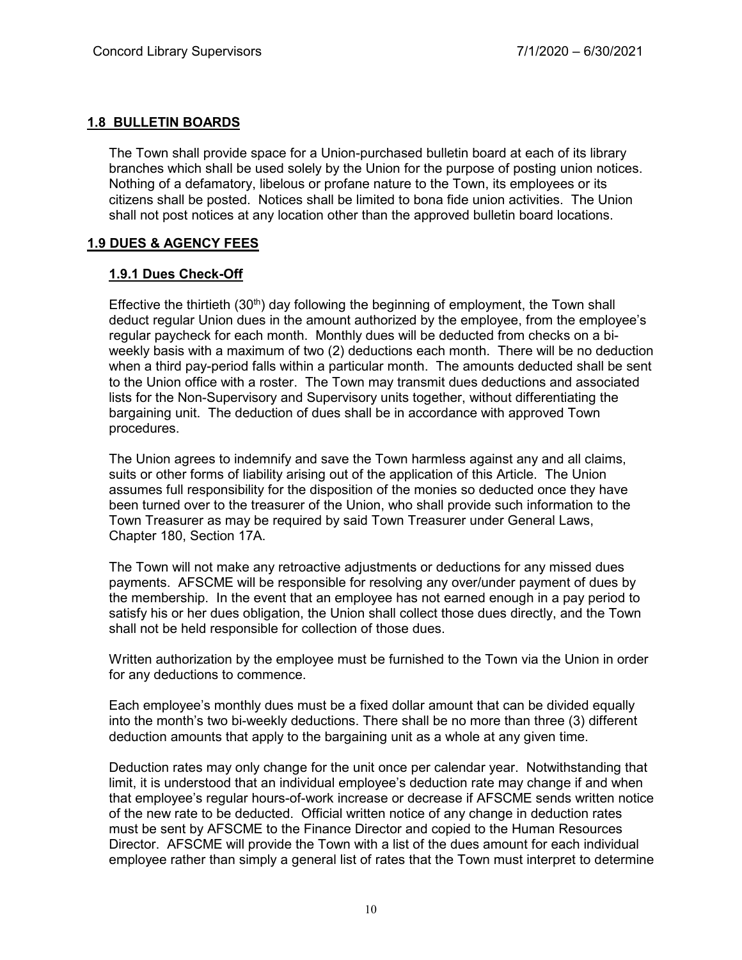# **1.8 BULLETIN BOARDS**

The Town shall provide space for a Union-purchased bulletin board at each of its library branches which shall be used solely by the Union for the purpose of posting union notices. Nothing of a defamatory, libelous or profane nature to the Town, its employees or its citizens shall be posted. Notices shall be limited to bona fide union activities. The Union shall not post notices at any location other than the approved bulletin board locations.

# **1.9 DUES & AGENCY FEES**

# **1.9.1 Dues Check-Off**

Effective the thirtieth  $(30<sup>th</sup>)$  day following the beginning of employment, the Town shall deduct regular Union dues in the amount authorized by the employee, from the employee's regular paycheck for each month. Monthly dues will be deducted from checks on a biweekly basis with a maximum of two (2) deductions each month. There will be no deduction when a third pay-period falls within a particular month. The amounts deducted shall be sent to the Union office with a roster. The Town may transmit dues deductions and associated lists for the Non-Supervisory and Supervisory units together, without differentiating the bargaining unit. The deduction of dues shall be in accordance with approved Town procedures.

The Union agrees to indemnify and save the Town harmless against any and all claims, suits or other forms of liability arising out of the application of this Article. The Union assumes full responsibility for the disposition of the monies so deducted once they have been turned over to the treasurer of the Union, who shall provide such information to the Town Treasurer as may be required by said Town Treasurer under General Laws, Chapter 180, Section 17A.

The Town will not make any retroactive adjustments or deductions for any missed dues payments. AFSCME will be responsible for resolving any over/under payment of dues by the membership. In the event that an employee has not earned enough in a pay period to satisfy his or her dues obligation, the Union shall collect those dues directly, and the Town shall not be held responsible for collection of those dues.

Written authorization by the employee must be furnished to the Town via the Union in order for any deductions to commence.

Each employee's monthly dues must be a fixed dollar amount that can be divided equally into the month's two bi-weekly deductions. There shall be no more than three (3) different deduction amounts that apply to the bargaining unit as a whole at any given time.

Deduction rates may only change for the unit once per calendar year. Notwithstanding that limit, it is understood that an individual employee's deduction rate may change if and when that employee's regular hours-of-work increase or decrease if AFSCME sends written notice of the new rate to be deducted. Official written notice of any change in deduction rates must be sent by AFSCME to the Finance Director and copied to the Human Resources Director. AFSCME will provide the Town with a list of the dues amount for each individual employee rather than simply a general list of rates that the Town must interpret to determine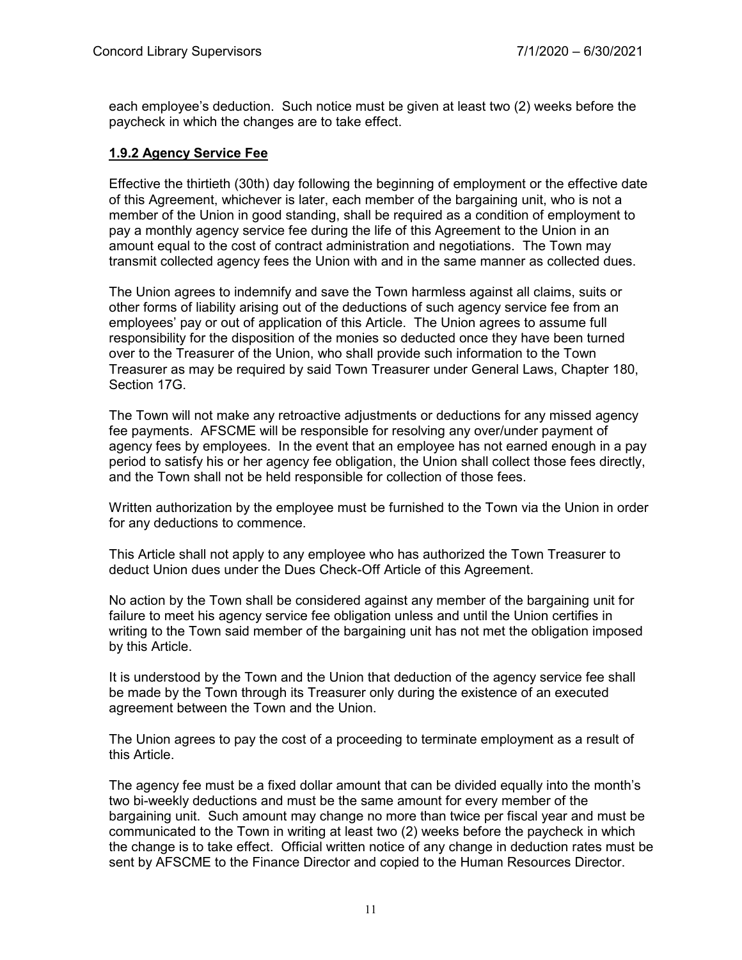each employee's deduction. Such notice must be given at least two (2) weeks before the paycheck in which the changes are to take effect.

# **1.9.2 Agency Service Fee**

Effective the thirtieth (30th) day following the beginning of employment or the effective date of this Agreement, whichever is later, each member of the bargaining unit, who is not a member of the Union in good standing, shall be required as a condition of employment to pay a monthly agency service fee during the life of this Agreement to the Union in an amount equal to the cost of contract administration and negotiations. The Town may transmit collected agency fees the Union with and in the same manner as collected dues.

The Union agrees to indemnify and save the Town harmless against all claims, suits or other forms of liability arising out of the deductions of such agency service fee from an employees' pay or out of application of this Article. The Union agrees to assume full responsibility for the disposition of the monies so deducted once they have been turned over to the Treasurer of the Union, who shall provide such information to the Town Treasurer as may be required by said Town Treasurer under General Laws, Chapter 180, Section 17G.

The Town will not make any retroactive adjustments or deductions for any missed agency fee payments. AFSCME will be responsible for resolving any over/under payment of agency fees by employees. In the event that an employee has not earned enough in a pay period to satisfy his or her agency fee obligation, the Union shall collect those fees directly, and the Town shall not be held responsible for collection of those fees.

Written authorization by the employee must be furnished to the Town via the Union in order for any deductions to commence.

This Article shall not apply to any employee who has authorized the Town Treasurer to deduct Union dues under the Dues Check-Off Article of this Agreement.

No action by the Town shall be considered against any member of the bargaining unit for failure to meet his agency service fee obligation unless and until the Union certifies in writing to the Town said member of the bargaining unit has not met the obligation imposed by this Article.

It is understood by the Town and the Union that deduction of the agency service fee shall be made by the Town through its Treasurer only during the existence of an executed agreement between the Town and the Union.

The Union agrees to pay the cost of a proceeding to terminate employment as a result of this Article.

The agency fee must be a fixed dollar amount that can be divided equally into the month's two bi-weekly deductions and must be the same amount for every member of the bargaining unit. Such amount may change no more than twice per fiscal year and must be communicated to the Town in writing at least two (2) weeks before the paycheck in which the change is to take effect. Official written notice of any change in deduction rates must be sent by AFSCME to the Finance Director and copied to the Human Resources Director.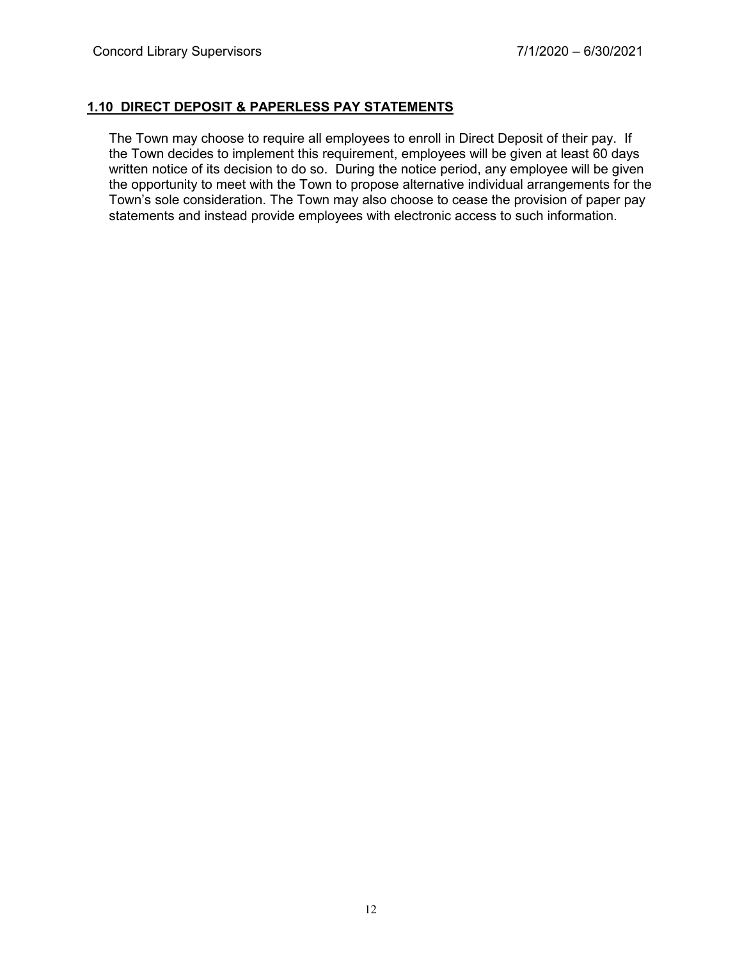# **1.10 DIRECT DEPOSIT & PAPERLESS PAY STATEMENTS**

The Town may choose to require all employees to enroll in Direct Deposit of their pay. If the Town decides to implement this requirement, employees will be given at least 60 days written notice of its decision to do so. During the notice period, any employee will be given the opportunity to meet with the Town to propose alternative individual arrangements for the Town's sole consideration. The Town may also choose to cease the provision of paper pay statements and instead provide employees with electronic access to such information.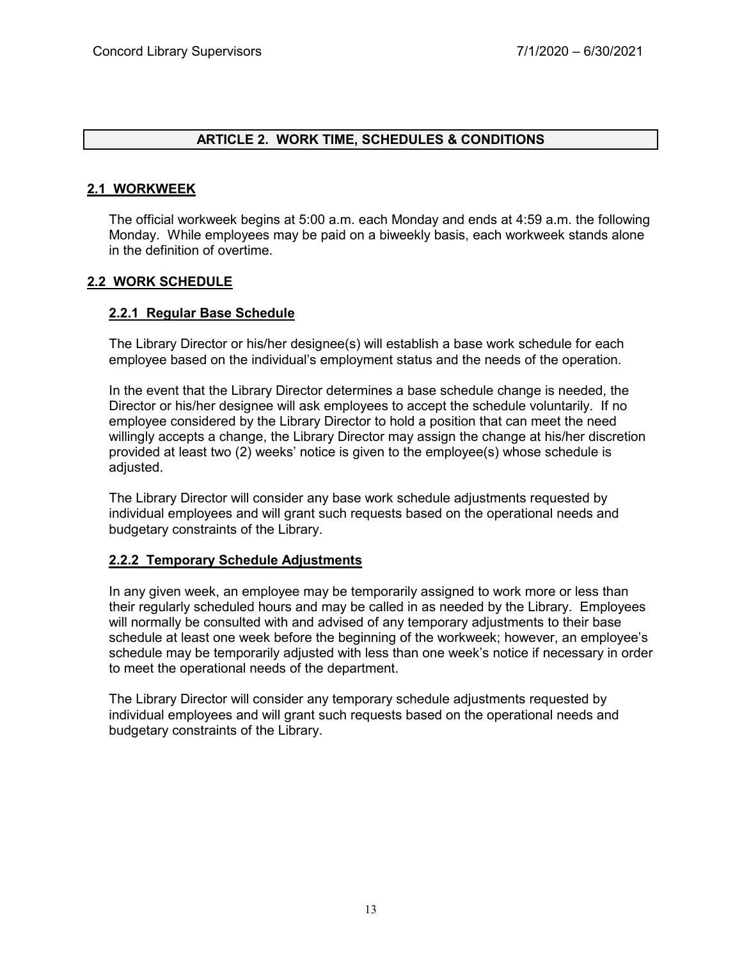# **ARTICLE 2. WORK TIME, SCHEDULES & CONDITIONS**

# **2.1 WORKWEEK**

The official workweek begins at 5:00 a.m. each Monday and ends at 4:59 a.m. the following Monday. While employees may be paid on a biweekly basis, each workweek stands alone in the definition of overtime.

# **2.2 WORK SCHEDULE**

# **2.2.1 Regular Base Schedule**

The Library Director or his/her designee(s) will establish a base work schedule for each employee based on the individual's employment status and the needs of the operation.

In the event that the Library Director determines a base schedule change is needed, the Director or his/her designee will ask employees to accept the schedule voluntarily. If no employee considered by the Library Director to hold a position that can meet the need willingly accepts a change, the Library Director may assign the change at his/her discretion provided at least two (2) weeks' notice is given to the employee(s) whose schedule is adjusted.

The Library Director will consider any base work schedule adjustments requested by individual employees and will grant such requests based on the operational needs and budgetary constraints of the Library.

#### **2.2.2 Temporary Schedule Adjustments**

In any given week, an employee may be temporarily assigned to work more or less than their regularly scheduled hours and may be called in as needed by the Library. Employees will normally be consulted with and advised of any temporary adjustments to their base schedule at least one week before the beginning of the workweek; however, an employee's schedule may be temporarily adjusted with less than one week's notice if necessary in order to meet the operational needs of the department.

The Library Director will consider any temporary schedule adjustments requested by individual employees and will grant such requests based on the operational needs and budgetary constraints of the Library.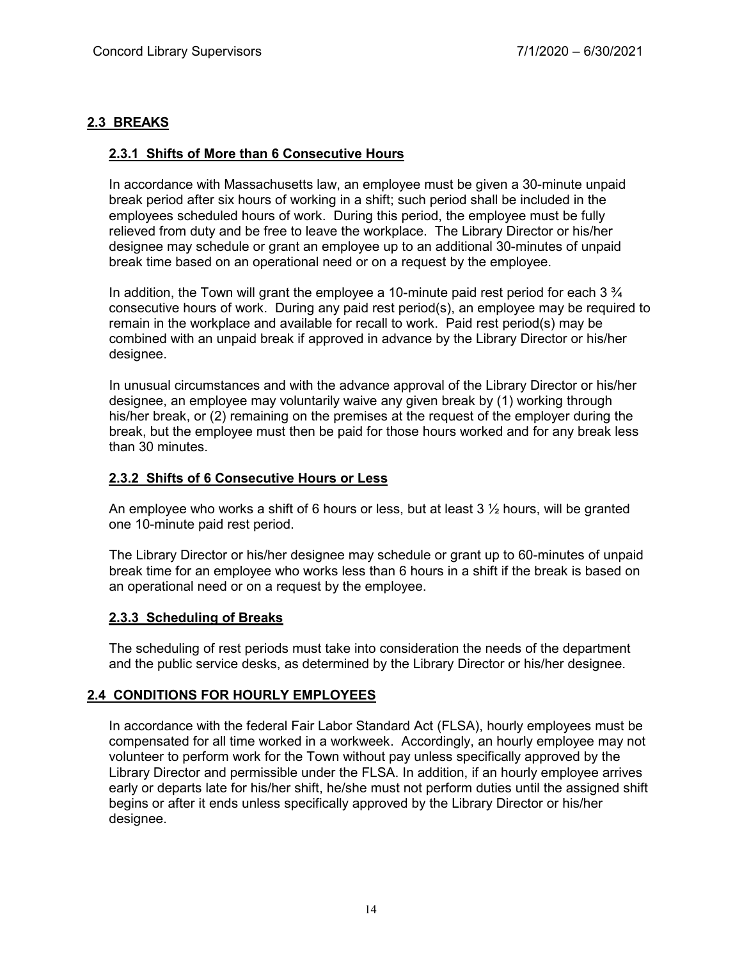# **2.3 BREAKS**

# **2.3.1 Shifts of More than 6 Consecutive Hours**

In accordance with Massachusetts law, an employee must be given a 30-minute unpaid break period after six hours of working in a shift; such period shall be included in the employees scheduled hours of work. During this period, the employee must be fully relieved from duty and be free to leave the workplace. The Library Director or his/her designee may schedule or grant an employee up to an additional 30-minutes of unpaid break time based on an operational need or on a request by the employee.

In addition, the Town will grant the employee a 10-minute paid rest period for each  $3\frac{3}{4}$ consecutive hours of work. During any paid rest period(s), an employee may be required to remain in the workplace and available for recall to work. Paid rest period(s) may be combined with an unpaid break if approved in advance by the Library Director or his/her designee.

In unusual circumstances and with the advance approval of the Library Director or his/her designee, an employee may voluntarily waive any given break by (1) working through his/her break, or (2) remaining on the premises at the request of the employer during the break, but the employee must then be paid for those hours worked and for any break less than 30 minutes.

#### **2.3.2 Shifts of 6 Consecutive Hours or Less**

An employee who works a shift of 6 hours or less, but at least  $3 \frac{1}{2}$  hours, will be granted one 10-minute paid rest period.

The Library Director or his/her designee may schedule or grant up to 60-minutes of unpaid break time for an employee who works less than 6 hours in a shift if the break is based on an operational need or on a request by the employee.

#### **2.3.3 Scheduling of Breaks**

The scheduling of rest periods must take into consideration the needs of the department and the public service desks, as determined by the Library Director or his/her designee.

# **2.4 CONDITIONS FOR HOURLY EMPLOYEES**

In accordance with the federal Fair Labor Standard Act (FLSA), hourly employees must be compensated for all time worked in a workweek. Accordingly, an hourly employee may not volunteer to perform work for the Town without pay unless specifically approved by the Library Director and permissible under the FLSA. In addition, if an hourly employee arrives early or departs late for his/her shift, he/she must not perform duties until the assigned shift begins or after it ends unless specifically approved by the Library Director or his/her designee.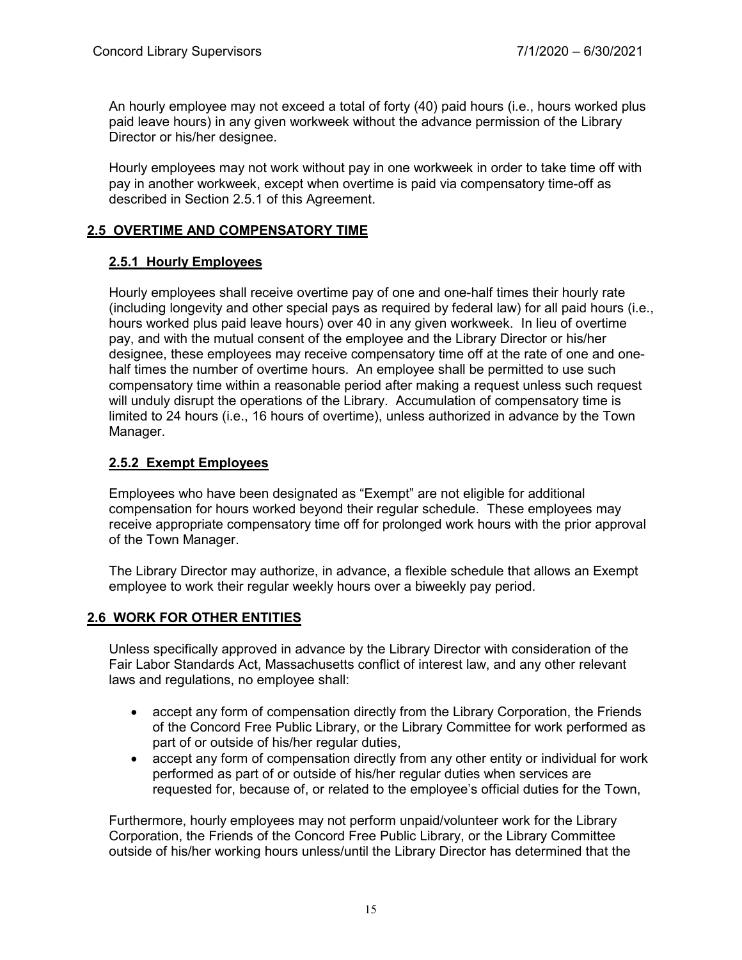An hourly employee may not exceed a total of forty (40) paid hours (i.e., hours worked plus paid leave hours) in any given workweek without the advance permission of the Library Director or his/her designee.

Hourly employees may not work without pay in one workweek in order to take time off with pay in another workweek, except when overtime is paid via compensatory time-off as described in Section 2.5.1 of this Agreement.

# **2.5 OVERTIME AND COMPENSATORY TIME**

# **2.5.1 Hourly Employees**

Hourly employees shall receive overtime pay of one and one-half times their hourly rate (including longevity and other special pays as required by federal law) for all paid hours (i.e., hours worked plus paid leave hours) over 40 in any given workweek. In lieu of overtime pay, and with the mutual consent of the employee and the Library Director or his/her designee, these employees may receive compensatory time off at the rate of one and onehalf times the number of overtime hours. An employee shall be permitted to use such compensatory time within a reasonable period after making a request unless such request will unduly disrupt the operations of the Library. Accumulation of compensatory time is limited to 24 hours (i.e., 16 hours of overtime), unless authorized in advance by the Town Manager.

# **2.5.2 Exempt Employees**

Employees who have been designated as "Exempt" are not eligible for additional compensation for hours worked beyond their regular schedule. These employees may receive appropriate compensatory time off for prolonged work hours with the prior approval of the Town Manager.

The Library Director may authorize, in advance, a flexible schedule that allows an Exempt employee to work their regular weekly hours over a biweekly pay period.

# **2.6 WORK FOR OTHER ENTITIES**

Unless specifically approved in advance by the Library Director with consideration of the Fair Labor Standards Act, Massachusetts conflict of interest law, and any other relevant laws and regulations, no employee shall:

- accept any form of compensation directly from the Library Corporation, the Friends of the Concord Free Public Library, or the Library Committee for work performed as part of or outside of his/her regular duties,
- accept any form of compensation directly from any other entity or individual for work performed as part of or outside of his/her regular duties when services are requested for, because of, or related to the employee's official duties for the Town,

Furthermore, hourly employees may not perform unpaid/volunteer work for the Library Corporation, the Friends of the Concord Free Public Library, or the Library Committee outside of his/her working hours unless/until the Library Director has determined that the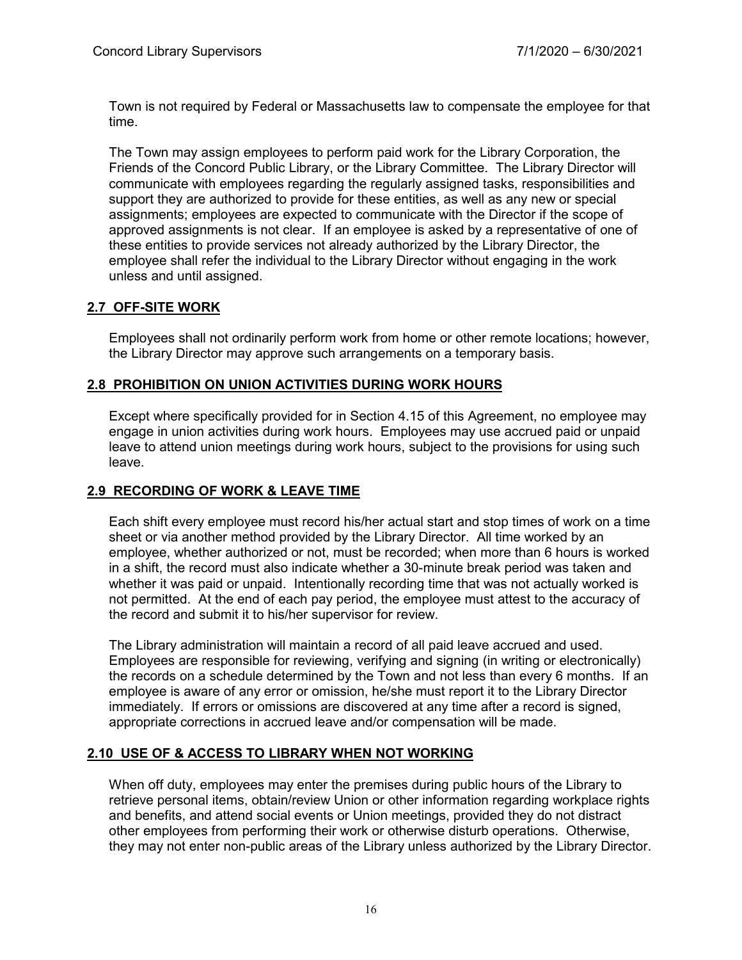Town is not required by Federal or Massachusetts law to compensate the employee for that time.

The Town may assign employees to perform paid work for the Library Corporation, the Friends of the Concord Public Library, or the Library Committee. The Library Director will communicate with employees regarding the regularly assigned tasks, responsibilities and support they are authorized to provide for these entities, as well as any new or special assignments; employees are expected to communicate with the Director if the scope of approved assignments is not clear. If an employee is asked by a representative of one of these entities to provide services not already authorized by the Library Director, the employee shall refer the individual to the Library Director without engaging in the work unless and until assigned.

# **2.7 OFF-SITE WORK**

Employees shall not ordinarily perform work from home or other remote locations; however, the Library Director may approve such arrangements on a temporary basis.

# **2.8 PROHIBITION ON UNION ACTIVITIES DURING WORK HOURS**

Except where specifically provided for in Section 4.15 of this Agreement, no employee may engage in union activities during work hours. Employees may use accrued paid or unpaid leave to attend union meetings during work hours, subject to the provisions for using such leave.

#### **2.9 RECORDING OF WORK & LEAVE TIME**

Each shift every employee must record his/her actual start and stop times of work on a time sheet or via another method provided by the Library Director. All time worked by an employee, whether authorized or not, must be recorded; when more than 6 hours is worked in a shift, the record must also indicate whether a 30-minute break period was taken and whether it was paid or unpaid. Intentionally recording time that was not actually worked is not permitted. At the end of each pay period, the employee must attest to the accuracy of the record and submit it to his/her supervisor for review.

The Library administration will maintain a record of all paid leave accrued and used. Employees are responsible for reviewing, verifying and signing (in writing or electronically) the records on a schedule determined by the Town and not less than every 6 months. If an employee is aware of any error or omission, he/she must report it to the Library Director immediately. If errors or omissions are discovered at any time after a record is signed, appropriate corrections in accrued leave and/or compensation will be made.

# **2.10 USE OF & ACCESS TO LIBRARY WHEN NOT WORKING**

When off duty, employees may enter the premises during public hours of the Library to retrieve personal items, obtain/review Union or other information regarding workplace rights and benefits, and attend social events or Union meetings, provided they do not distract other employees from performing their work or otherwise disturb operations. Otherwise, they may not enter non-public areas of the Library unless authorized by the Library Director.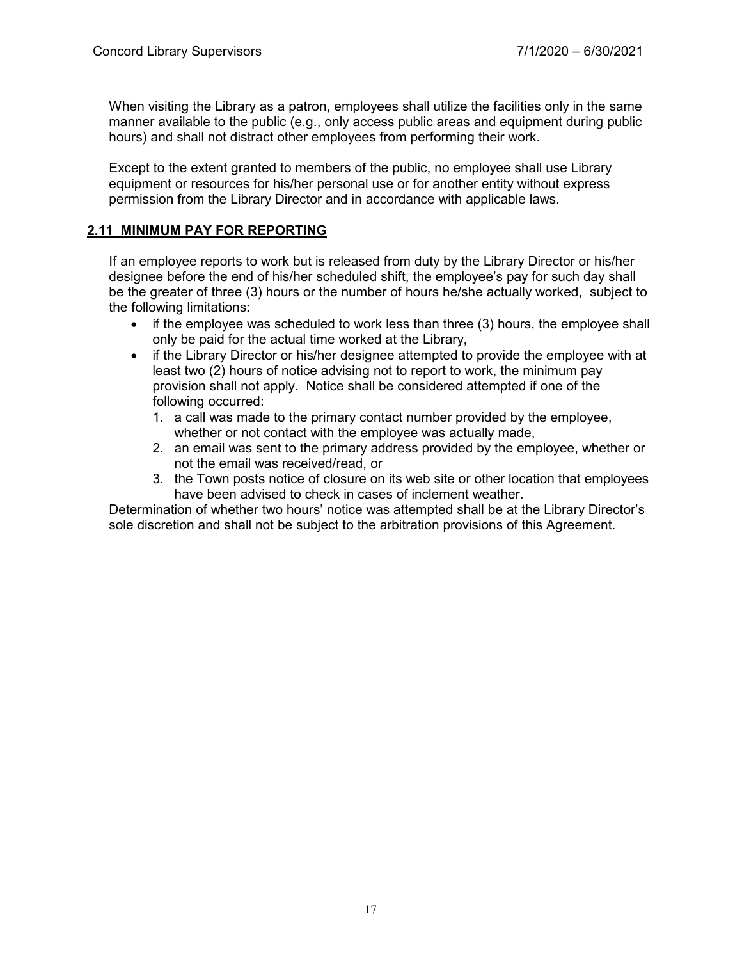When visiting the Library as a patron, employees shall utilize the facilities only in the same manner available to the public (e.g., only access public areas and equipment during public hours) and shall not distract other employees from performing their work.

Except to the extent granted to members of the public, no employee shall use Library equipment or resources for his/her personal use or for another entity without express permission from the Library Director and in accordance with applicable laws.

# **2.11 MINIMUM PAY FOR REPORTING**

If an employee reports to work but is released from duty by the Library Director or his/her designee before the end of his/her scheduled shift, the employee's pay for such day shall be the greater of three (3) hours or the number of hours he/she actually worked, subject to the following limitations:

- if the employee was scheduled to work less than three (3) hours, the employee shall only be paid for the actual time worked at the Library,
- if the Library Director or his/her designee attempted to provide the employee with at least two (2) hours of notice advising not to report to work, the minimum pay provision shall not apply. Notice shall be considered attempted if one of the following occurred:
	- 1. a call was made to the primary contact number provided by the employee, whether or not contact with the employee was actually made,
	- 2. an email was sent to the primary address provided by the employee, whether or not the email was received/read, or
	- 3. the Town posts notice of closure on its web site or other location that employees have been advised to check in cases of inclement weather.

Determination of whether two hours' notice was attempted shall be at the Library Director's sole discretion and shall not be subject to the arbitration provisions of this Agreement.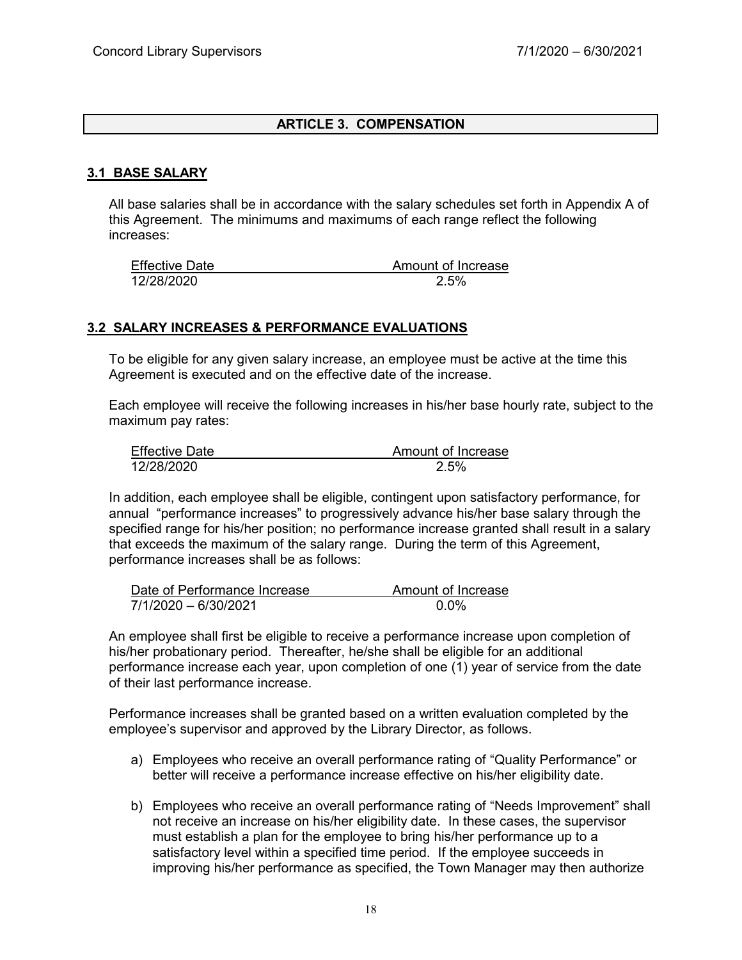# **ARTICLE 3. COMPENSATION**

#### **3.1 BASE SALARY**

All base salaries shall be in accordance with the salary schedules set forth in Appendix A of this Agreement. The minimums and maximums of each range reflect the following increases:

| <b>Effective Date</b> | Amount of Increase |
|-----------------------|--------------------|
| 12/28/2020            | 2.5%               |

#### **3.2 SALARY INCREASES & PERFORMANCE EVALUATIONS**

To be eligible for any given salary increase, an employee must be active at the time this Agreement is executed and on the effective date of the increase.

Each employee will receive the following increases in his/her base hourly rate, subject to the maximum pay rates:

| <b>Effective Date</b> | Amount of Increase |
|-----------------------|--------------------|
| 12/28/2020            | 2.5%               |

In addition, each employee shall be eligible, contingent upon satisfactory performance, for annual "performance increases" to progressively advance his/her base salary through the specified range for his/her position; no performance increase granted shall result in a salary that exceeds the maximum of the salary range. During the term of this Agreement, performance increases shall be as follows:

| Date of Performance Increase | Amount of Increase |
|------------------------------|--------------------|
| 7/1/2020 - 6/30/2021         | 0.0%               |

An employee shall first be eligible to receive a performance increase upon completion of his/her probationary period. Thereafter, he/she shall be eligible for an additional performance increase each year, upon completion of one (1) year of service from the date of their last performance increase.

Performance increases shall be granted based on a written evaluation completed by the employee's supervisor and approved by the Library Director, as follows.

- a) Employees who receive an overall performance rating of "Quality Performance" or better will receive a performance increase effective on his/her eligibility date.
- b) Employees who receive an overall performance rating of "Needs Improvement" shall not receive an increase on his/her eligibility date. In these cases, the supervisor must establish a plan for the employee to bring his/her performance up to a satisfactory level within a specified time period. If the employee succeeds in improving his/her performance as specified, the Town Manager may then authorize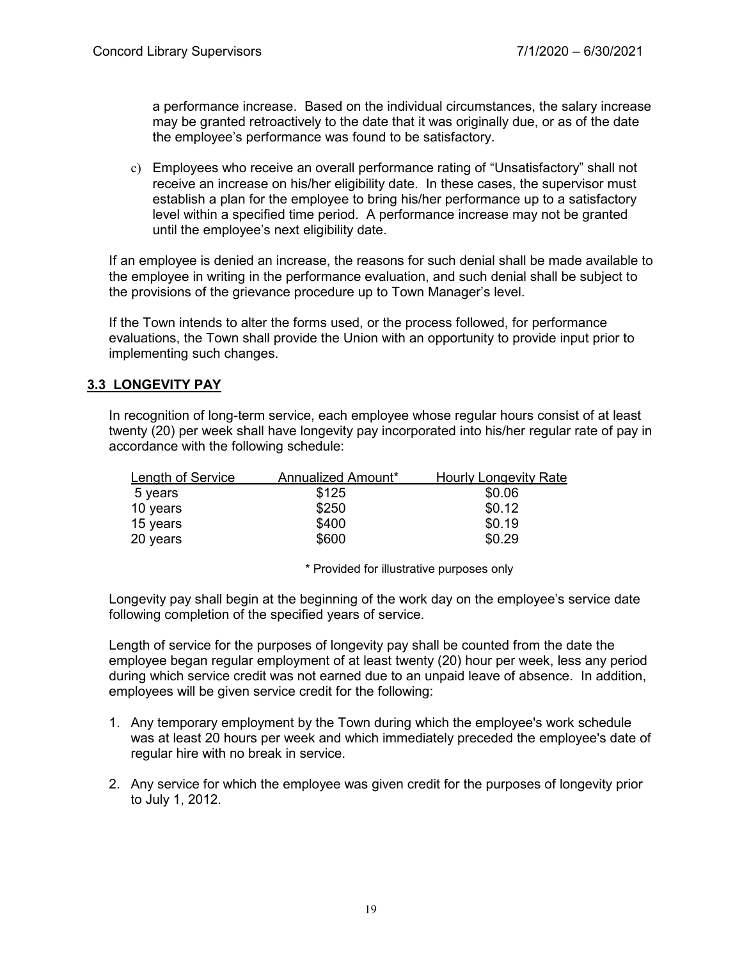a performance increase. Based on the individual circumstances, the salary increase may be granted retroactively to the date that it was originally due, or as of the date the employee's performance was found to be satisfactory.

c) Employees who receive an overall performance rating of "Unsatisfactory" shall not receive an increase on his/her eligibility date. In these cases, the supervisor must establish a plan for the employee to bring his/her performance up to a satisfactory level within a specified time period. A performance increase may not be granted until the employee's next eligibility date.

If an employee is denied an increase, the reasons for such denial shall be made available to the employee in writing in the performance evaluation, and such denial shall be subject to the provisions of the grievance procedure up to Town Manager's level.

If the Town intends to alter the forms used, or the process followed, for performance evaluations, the Town shall provide the Union with an opportunity to provide input prior to implementing such changes.

# **3.3 LONGEVITY PAY**

In recognition of long-term service, each employee whose regular hours consist of at least twenty (20) per week shall have longevity pay incorporated into his/her regular rate of pay in accordance with the following schedule:

| Length of Service | Annualized Amount* | <b>Hourly Longevity Rate</b> |
|-------------------|--------------------|------------------------------|
| 5 years           | \$125              | \$0.06                       |
| 10 years          | \$250              | \$0.12                       |
| 15 years          | \$400              | \$0.19                       |
| 20 years          | \$600              | \$0.29                       |

\* Provided for illustrative purposes only

Longevity pay shall begin at the beginning of the work day on the employee's service date following completion of the specified years of service.

Length of service for the purposes of longevity pay shall be counted from the date the employee began regular employment of at least twenty (20) hour per week, less any period during which service credit was not earned due to an unpaid leave of absence. In addition, employees will be given service credit for the following:

- 1. Any temporary employment by the Town during which the employee's work schedule was at least 20 hours per week and which immediately preceded the employee's date of regular hire with no break in service.
- 2. Any service for which the employee was given credit for the purposes of longevity prior to July 1, 2012.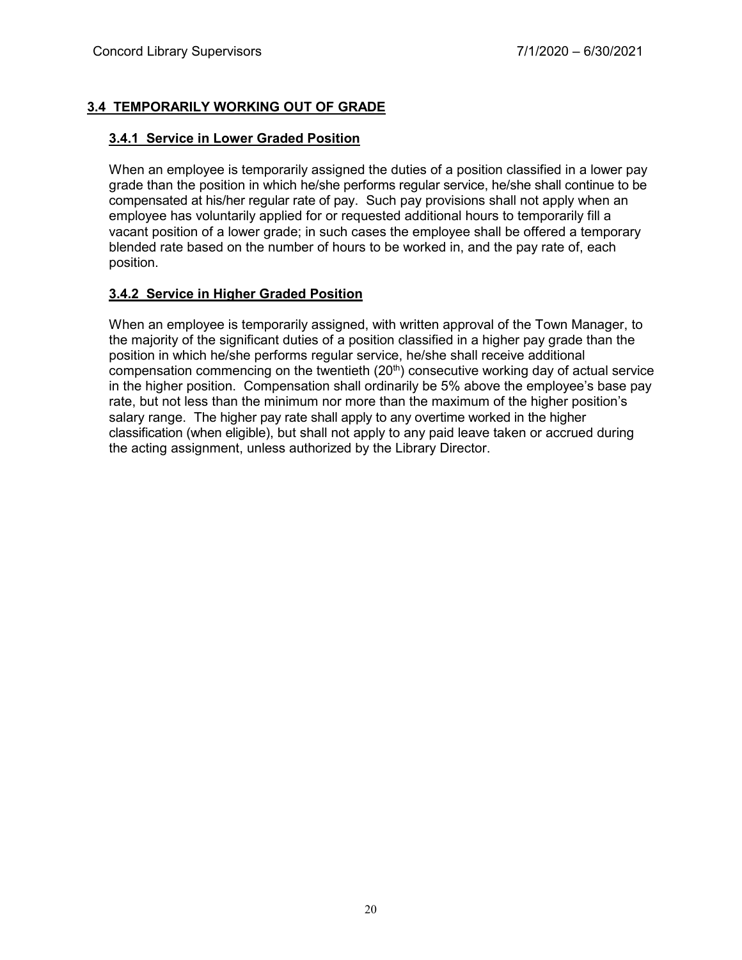# **3.4 TEMPORARILY WORKING OUT OF GRADE**

# **3.4.1 Service in Lower Graded Position**

When an employee is temporarily assigned the duties of a position classified in a lower pay grade than the position in which he/she performs regular service, he/she shall continue to be compensated at his/her regular rate of pay. Such pay provisions shall not apply when an employee has voluntarily applied for or requested additional hours to temporarily fill a vacant position of a lower grade; in such cases the employee shall be offered a temporary blended rate based on the number of hours to be worked in, and the pay rate of, each position.

# **3.4.2 Service in Higher Graded Position**

When an employee is temporarily assigned, with written approval of the Town Manager, to the majority of the significant duties of a position classified in a higher pay grade than the position in which he/she performs regular service, he/she shall receive additional compensation commencing on the twentieth  $(20<sup>th</sup>)$  consecutive working day of actual service in the higher position. Compensation shall ordinarily be 5% above the employee's base pay rate, but not less than the minimum nor more than the maximum of the higher position's salary range. The higher pay rate shall apply to any overtime worked in the higher classification (when eligible), but shall not apply to any paid leave taken or accrued during the acting assignment, unless authorized by the Library Director.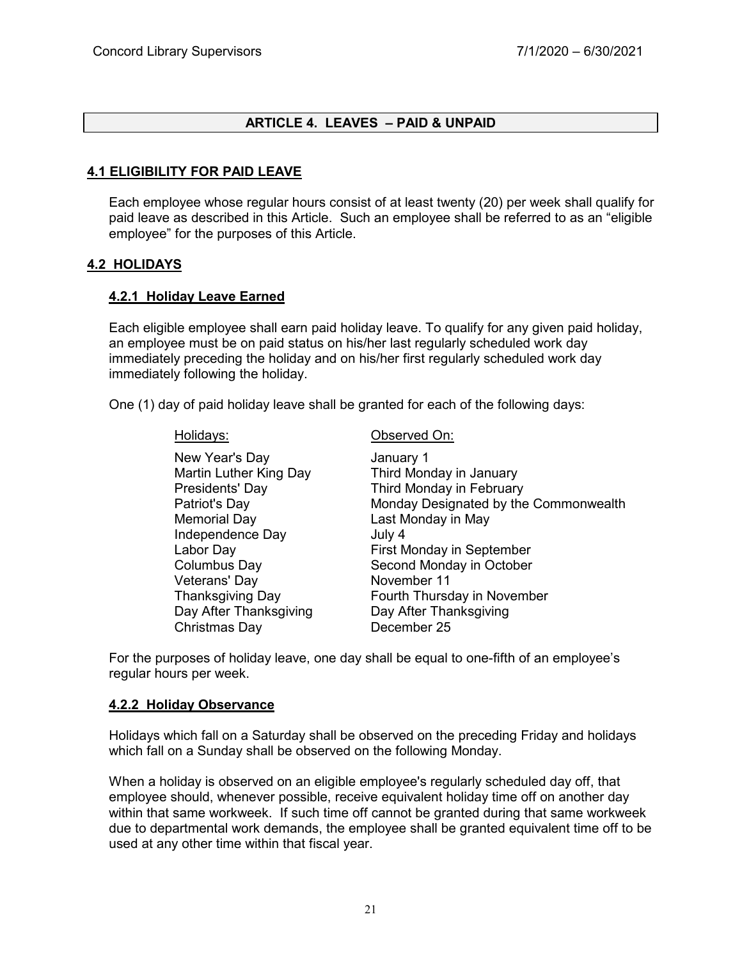# **ARTICLE 4. LEAVES – PAID & UNPAID**

#### **4.1 ELIGIBILITY FOR PAID LEAVE**

Each employee whose regular hours consist of at least twenty (20) per week shall qualify for paid leave as described in this Article. Such an employee shall be referred to as an "eligible employee" for the purposes of this Article.

#### **4.2 HOLIDAYS**

#### **4.2.1 Holiday Leave Earned**

Each eligible employee shall earn paid holiday leave. To qualify for any given paid holiday, an employee must be on paid status on his/her last regularly scheduled work day immediately preceding the holiday and on his/her first regularly scheduled work day immediately following the holiday.

One (1) day of paid holiday leave shall be granted for each of the following days:

New Year's Day **Internal Contract Contract Contract Contract Contract Contract Contract Contract Contract Contract Contract Contract Contract Contract Contract Contract Contract Contract Contract Contract Contract Contract** Memorial Day **Last Monday in May** Independence Day **July 4** Veterans' Day Christmas Day December 25

Holidays: Observed On:

Martin Luther King Day Third Monday in January Presidents' Day Third Monday in February Patriot's Day **Monday Designated by the Commonwealth** Labor Day **First Monday in September** Columbus Day **Second Monday in October**<br>
Veterans' Dav Thanksgiving Day Fourth Thursday in November Day After Thanksgiving Day After Thanksgiving

For the purposes of holiday leave, one day shall be equal to one-fifth of an employee's regular hours per week.

#### **4.2.2 Holiday Observance**

Holidays which fall on a Saturday shall be observed on the preceding Friday and holidays which fall on a Sunday shall be observed on the following Monday.

When a holiday is observed on an eligible employee's regularly scheduled day off, that employee should, whenever possible, receive equivalent holiday time off on another day within that same workweek. If such time off cannot be granted during that same workweek due to departmental work demands, the employee shall be granted equivalent time off to be used at any other time within that fiscal year.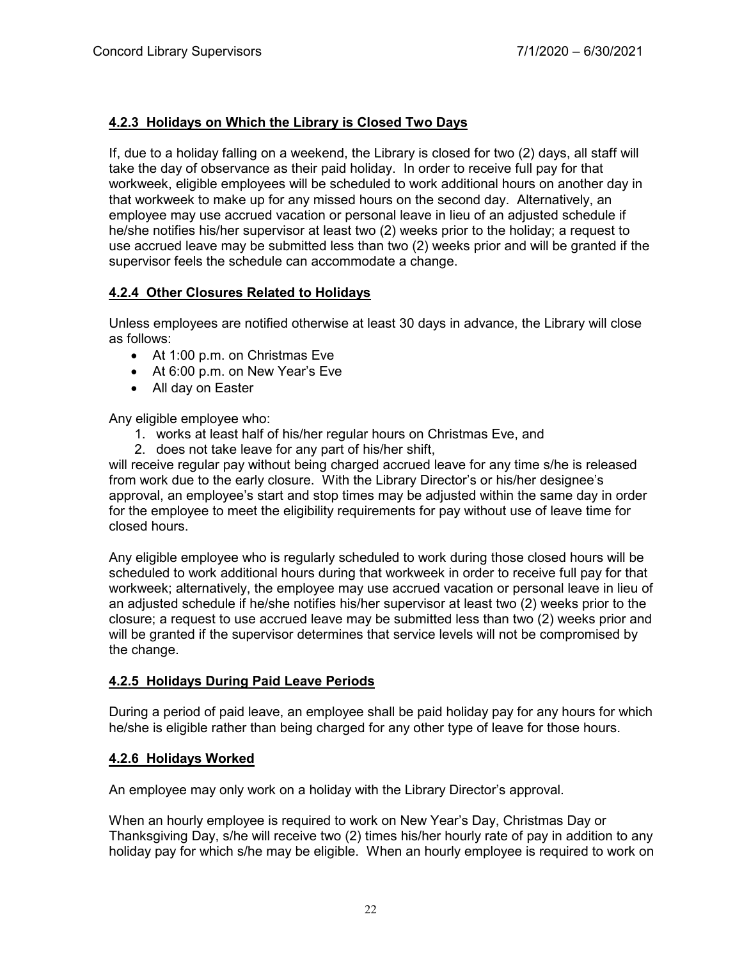# **4.2.3 Holidays on Which the Library is Closed Two Days**

If, due to a holiday falling on a weekend, the Library is closed for two (2) days, all staff will take the day of observance as their paid holiday. In order to receive full pay for that workweek, eligible employees will be scheduled to work additional hours on another day in that workweek to make up for any missed hours on the second day. Alternatively, an employee may use accrued vacation or personal leave in lieu of an adjusted schedule if he/she notifies his/her supervisor at least two (2) weeks prior to the holiday; a request to use accrued leave may be submitted less than two (2) weeks prior and will be granted if the supervisor feels the schedule can accommodate a change.

# **4.2.4 Other Closures Related to Holidays**

Unless employees are notified otherwise at least 30 days in advance, the Library will close as follows:

- At 1:00 p.m. on Christmas Eve
- At 6:00 p.m. on New Year's Eve
- All day on Easter

Any eligible employee who:

- 1. works at least half of his/her regular hours on Christmas Eve, and
- 2. does not take leave for any part of his/her shift,

will receive regular pay without being charged accrued leave for any time s/he is released from work due to the early closure. With the Library Director's or his/her designee's approval, an employee's start and stop times may be adjusted within the same day in order for the employee to meet the eligibility requirements for pay without use of leave time for closed hours.

Any eligible employee who is regularly scheduled to work during those closed hours will be scheduled to work additional hours during that workweek in order to receive full pay for that workweek; alternatively, the employee may use accrued vacation or personal leave in lieu of an adjusted schedule if he/she notifies his/her supervisor at least two (2) weeks prior to the closure; a request to use accrued leave may be submitted less than two (2) weeks prior and will be granted if the supervisor determines that service levels will not be compromised by the change.

# **4.2.5 Holidays During Paid Leave Periods**

During a period of paid leave, an employee shall be paid holiday pay for any hours for which he/she is eligible rather than being charged for any other type of leave for those hours.

# **4.2.6 Holidays Worked**

An employee may only work on a holiday with the Library Director's approval.

When an hourly employee is required to work on New Year's Day, Christmas Day or Thanksgiving Day, s/he will receive two (2) times his/her hourly rate of pay in addition to any holiday pay for which s/he may be eligible. When an hourly employee is required to work on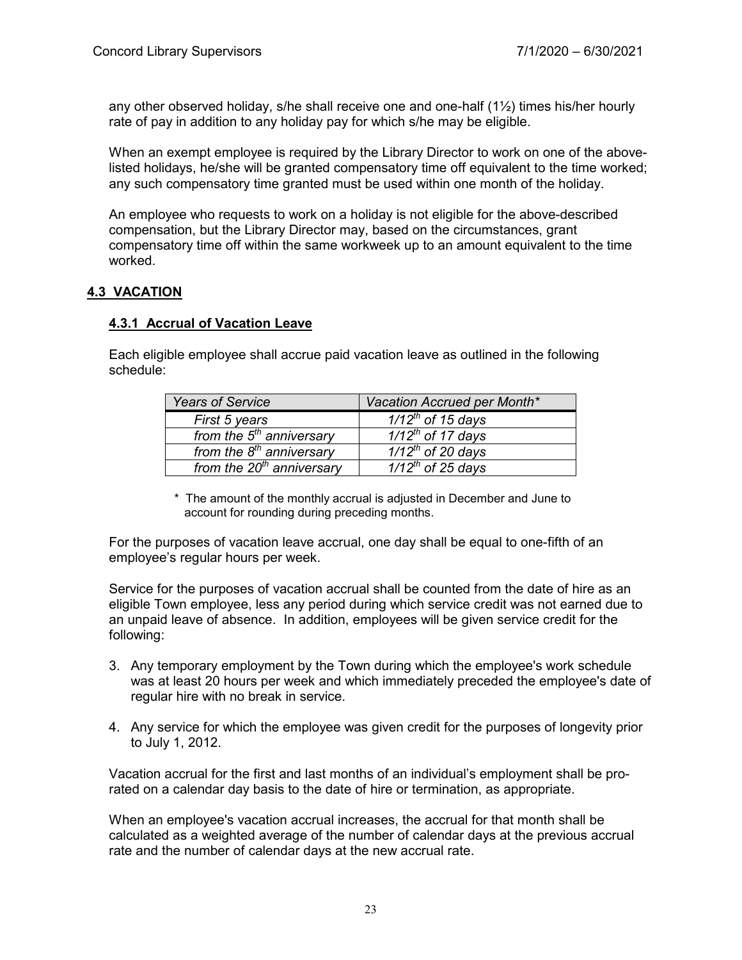any other observed holiday, s/he shall receive one and one-half  $(1\frac{1}{2})$  times his/her hourly rate of pay in addition to any holiday pay for which s/he may be eligible.

When an exempt employee is required by the Library Director to work on one of the abovelisted holidays, he/she will be granted compensatory time off equivalent to the time worked; any such compensatory time granted must be used within one month of the holiday.

An employee who requests to work on a holiday is not eligible for the above-described compensation, but the Library Director may, based on the circumstances, grant compensatory time off within the same workweek up to an amount equivalent to the time worked.

# **4.3 VACATION**

#### **4.3.1 Accrual of Vacation Leave**

Each eligible employee shall accrue paid vacation leave as outlined in the following schedule:

| <b>Years of Service</b>     | Vacation Accrued per Month*    |
|-----------------------------|--------------------------------|
| First 5 years               | $1/12^{th}$ of 15 days         |
| from the $5th$ anniversary  | $\frac{1}{12^{th}}$ of 17 days |
| from the $8th$ anniversary  | $\frac{1}{12^{th}}$ of 20 days |
| from the $20th$ anniversary | $1/12^{th}$ of 25 days         |

\* The amount of the monthly accrual is adjusted in December and June to account for rounding during preceding months.

For the purposes of vacation leave accrual, one day shall be equal to one-fifth of an employee's regular hours per week.

Service for the purposes of vacation accrual shall be counted from the date of hire as an eligible Town employee, less any period during which service credit was not earned due to an unpaid leave of absence. In addition, employees will be given service credit for the following:

- 3. Any temporary employment by the Town during which the employee's work schedule was at least 20 hours per week and which immediately preceded the employee's date of regular hire with no break in service.
- 4. Any service for which the employee was given credit for the purposes of longevity prior to July 1, 2012.

Vacation accrual for the first and last months of an individual's employment shall be prorated on a calendar day basis to the date of hire or termination, as appropriate.

When an employee's vacation accrual increases, the accrual for that month shall be calculated as a weighted average of the number of calendar days at the previous accrual rate and the number of calendar days at the new accrual rate.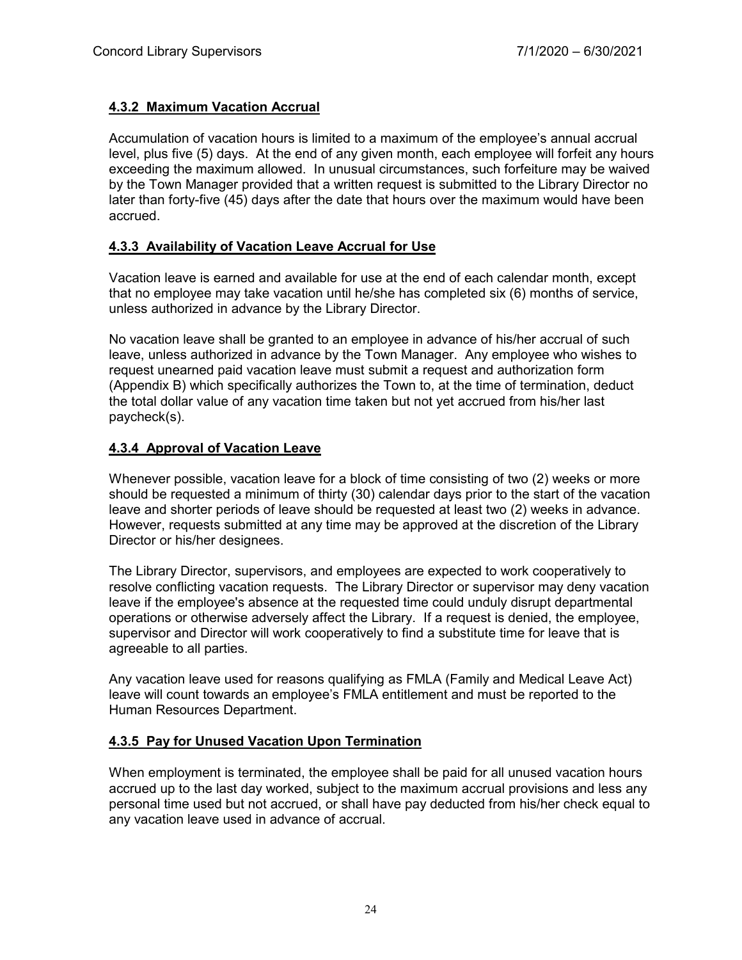# **4.3.2 Maximum Vacation Accrual**

Accumulation of vacation hours is limited to a maximum of the employee's annual accrual level, plus five (5) days. At the end of any given month, each employee will forfeit any hours exceeding the maximum allowed. In unusual circumstances, such forfeiture may be waived by the Town Manager provided that a written request is submitted to the Library Director no later than forty-five (45) days after the date that hours over the maximum would have been accrued.

# **4.3.3 Availability of Vacation Leave Accrual for Use**

Vacation leave is earned and available for use at the end of each calendar month, except that no employee may take vacation until he/she has completed six (6) months of service, unless authorized in advance by the Library Director.

No vacation leave shall be granted to an employee in advance of his/her accrual of such leave, unless authorized in advance by the Town Manager. Any employee who wishes to request unearned paid vacation leave must submit a request and authorization form (Appendix B) which specifically authorizes the Town to, at the time of termination, deduct the total dollar value of any vacation time taken but not yet accrued from his/her last paycheck(s).

# **4.3.4 Approval of Vacation Leave**

Whenever possible, vacation leave for a block of time consisting of two (2) weeks or more should be requested a minimum of thirty (30) calendar days prior to the start of the vacation leave and shorter periods of leave should be requested at least two (2) weeks in advance. However, requests submitted at any time may be approved at the discretion of the Library Director or his/her designees.

The Library Director, supervisors, and employees are expected to work cooperatively to resolve conflicting vacation requests. The Library Director or supervisor may deny vacation leave if the employee's absence at the requested time could unduly disrupt departmental operations or otherwise adversely affect the Library. If a request is denied, the employee, supervisor and Director will work cooperatively to find a substitute time for leave that is agreeable to all parties.

Any vacation leave used for reasons qualifying as FMLA (Family and Medical Leave Act) leave will count towards an employee's FMLA entitlement and must be reported to the Human Resources Department.

# **4.3.5 Pay for Unused Vacation Upon Termination**

When employment is terminated, the employee shall be paid for all unused vacation hours accrued up to the last day worked, subject to the maximum accrual provisions and less any personal time used but not accrued, or shall have pay deducted from his/her check equal to any vacation leave used in advance of accrual.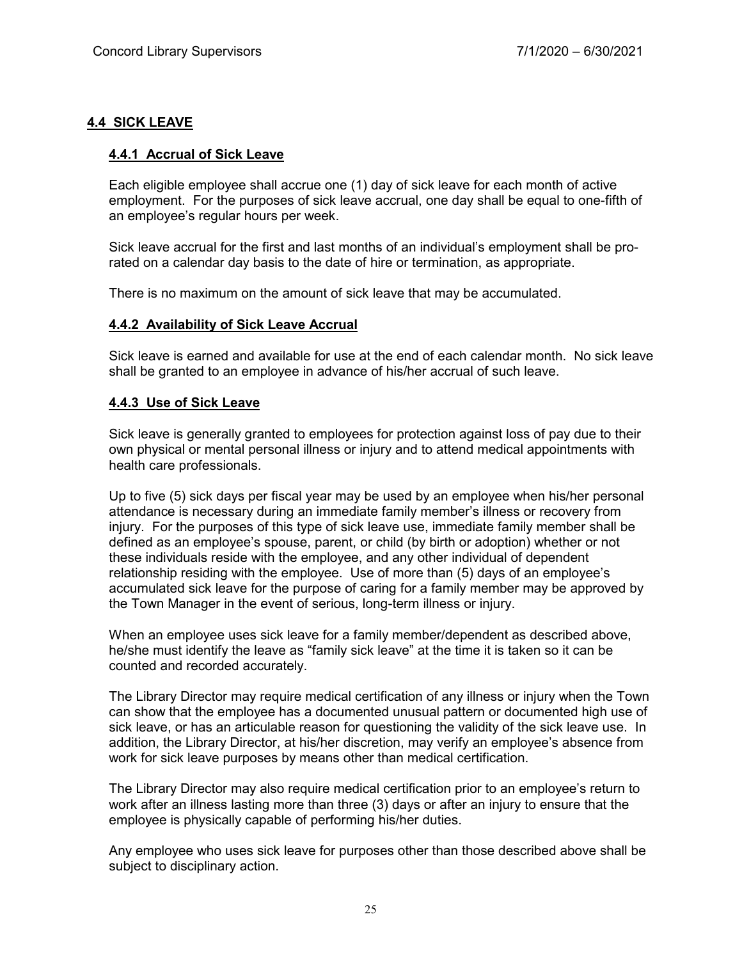# **4.4 SICK LEAVE**

# **4.4.1 Accrual of Sick Leave**

Each eligible employee shall accrue one (1) day of sick leave for each month of active employment. For the purposes of sick leave accrual, one day shall be equal to one-fifth of an employee's regular hours per week.

Sick leave accrual for the first and last months of an individual's employment shall be prorated on a calendar day basis to the date of hire or termination, as appropriate.

There is no maximum on the amount of sick leave that may be accumulated.

#### **4.4.2 Availability of Sick Leave Accrual**

Sick leave is earned and available for use at the end of each calendar month. No sick leave shall be granted to an employee in advance of his/her accrual of such leave.

#### **4.4.3 Use of Sick Leave**

Sick leave is generally granted to employees for protection against loss of pay due to their own physical or mental personal illness or injury and to attend medical appointments with health care professionals.

Up to five (5) sick days per fiscal year may be used by an employee when his/her personal attendance is necessary during an immediate family member's illness or recovery from injury. For the purposes of this type of sick leave use, immediate family member shall be defined as an employee's spouse, parent, or child (by birth or adoption) whether or not these individuals reside with the employee, and any other individual of dependent relationship residing with the employee. Use of more than (5) days of an employee's accumulated sick leave for the purpose of caring for a family member may be approved by the Town Manager in the event of serious, long-term illness or injury.

When an employee uses sick leave for a family member/dependent as described above, he/she must identify the leave as "family sick leave" at the time it is taken so it can be counted and recorded accurately.

The Library Director may require medical certification of any illness or injury when the Town can show that the employee has a documented unusual pattern or documented high use of sick leave, or has an articulable reason for questioning the validity of the sick leave use. In addition, the Library Director, at his/her discretion, may verify an employee's absence from work for sick leave purposes by means other than medical certification.

The Library Director may also require medical certification prior to an employee's return to work after an illness lasting more than three (3) days or after an injury to ensure that the employee is physically capable of performing his/her duties.

Any employee who uses sick leave for purposes other than those described above shall be subject to disciplinary action.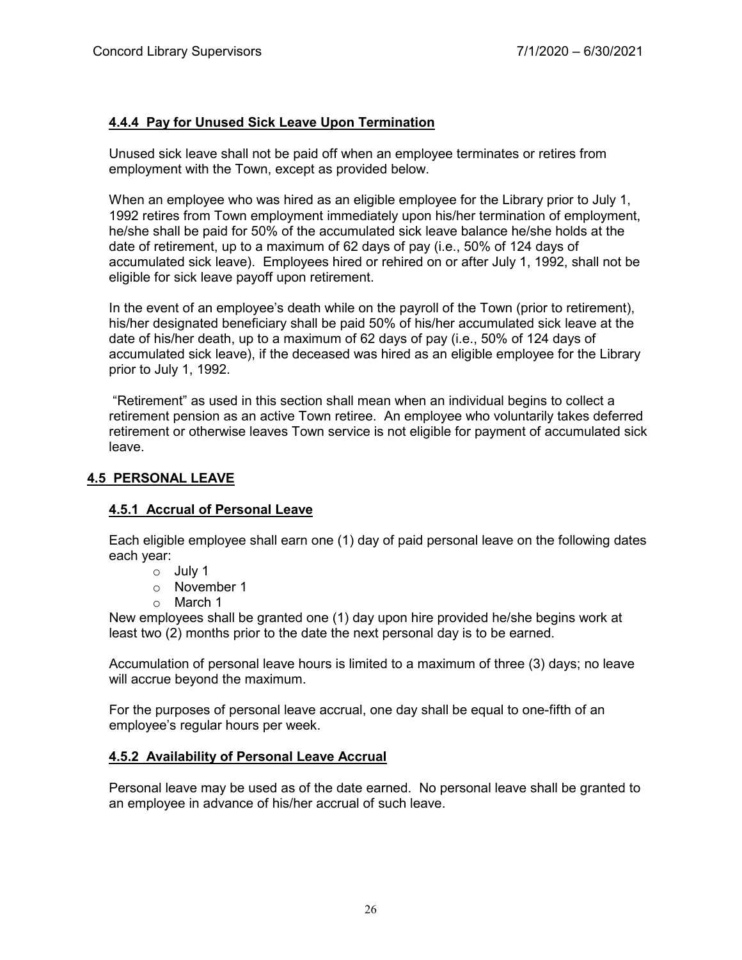# **4.4.4 Pay for Unused Sick Leave Upon Termination**

Unused sick leave shall not be paid off when an employee terminates or retires from employment with the Town, except as provided below.

When an employee who was hired as an eligible employee for the Library prior to July 1, 1992 retires from Town employment immediately upon his/her termination of employment, he/she shall be paid for 50% of the accumulated sick leave balance he/she holds at the date of retirement, up to a maximum of 62 days of pay (i.e., 50% of 124 days of accumulated sick leave). Employees hired or rehired on or after July 1, 1992, shall not be eligible for sick leave payoff upon retirement.

In the event of an employee's death while on the payroll of the Town (prior to retirement), his/her designated beneficiary shall be paid 50% of his/her accumulated sick leave at the date of his/her death, up to a maximum of 62 days of pay (i.e., 50% of 124 days of accumulated sick leave), if the deceased was hired as an eligible employee for the Library prior to July 1, 1992.

"Retirement" as used in this section shall mean when an individual begins to collect a retirement pension as an active Town retiree. An employee who voluntarily takes deferred retirement or otherwise leaves Town service is not eligible for payment of accumulated sick leave.

# **4.5 PERSONAL LEAVE**

# **4.5.1 Accrual of Personal Leave**

Each eligible employee shall earn one (1) day of paid personal leave on the following dates each year:

- o July 1
- o November 1
- o March 1

New employees shall be granted one (1) day upon hire provided he/she begins work at least two (2) months prior to the date the next personal day is to be earned.

Accumulation of personal leave hours is limited to a maximum of three (3) days; no leave will accrue beyond the maximum.

For the purposes of personal leave accrual, one day shall be equal to one-fifth of an employee's regular hours per week.

# **4.5.2 Availability of Personal Leave Accrual**

Personal leave may be used as of the date earned. No personal leave shall be granted to an employee in advance of his/her accrual of such leave.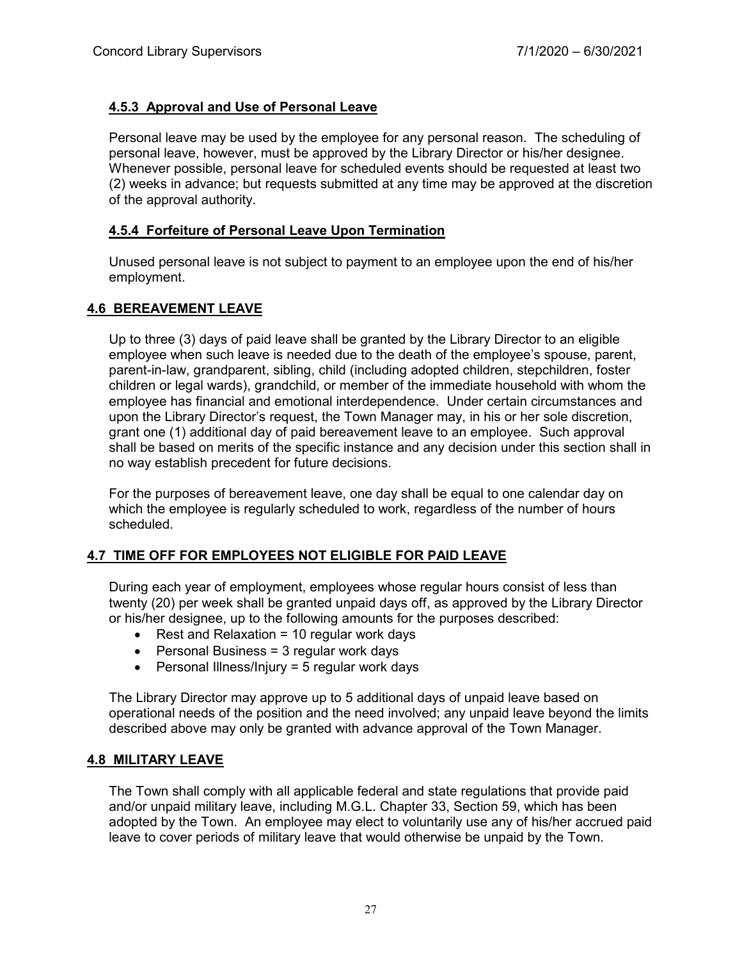# **4.5.3 Approval and Use of Personal Leave**

Personal leave may be used by the employee for any personal reason. The scheduling of personal leave, however, must be approved by the Library Director or his/her designee. Whenever possible, personal leave for scheduled events should be requested at least two (2) weeks in advance; but requests submitted at any time may be approved at the discretion of the approval authority.

# **4.5.4 Forfeiture of Personal Leave Upon Termination**

Unused personal leave is not subject to payment to an employee upon the end of his/her employment.

# **4.6 BEREAVEMENT LEAVE**

Up to three (3) days of paid leave shall be granted by the Library Director to an eligible employee when such leave is needed due to the death of the employee's spouse, parent, parent-in-law, grandparent, sibling, child (including adopted children, stepchildren, foster children or legal wards), grandchild, or member of the immediate household with whom the employee has financial and emotional interdependence. Under certain circumstances and upon the Library Director's request, the Town Manager may, in his or her sole discretion, grant one (1) additional day of paid bereavement leave to an employee. Such approval shall be based on merits of the specific instance and any decision under this section shall in no way establish precedent for future decisions.

For the purposes of bereavement leave, one day shall be equal to one calendar day on which the employee is regularly scheduled to work, regardless of the number of hours scheduled.

# **4.7 TIME OFF FOR EMPLOYEES NOT ELIGIBLE FOR PAID LEAVE**

During each year of employment, employees whose regular hours consist of less than twenty (20) per week shall be granted unpaid days off, as approved by the Library Director or his/her designee, up to the following amounts for the purposes described:

- Rest and Relaxation = 10 regular work days
- Personal Business = 3 regular work days
- Personal Illness/Injury = 5 regular work days

The Library Director may approve up to 5 additional days of unpaid leave based on operational needs of the position and the need involved; any unpaid leave beyond the limits described above may only be granted with advance approval of the Town Manager.

#### **4.8 MILITARY LEAVE**

The Town shall comply with all applicable federal and state regulations that provide paid and/or unpaid military leave, including M.G.L. Chapter 33, Section 59, which has been adopted by the Town. An employee may elect to voluntarily use any of his/her accrued paid leave to cover periods of military leave that would otherwise be unpaid by the Town.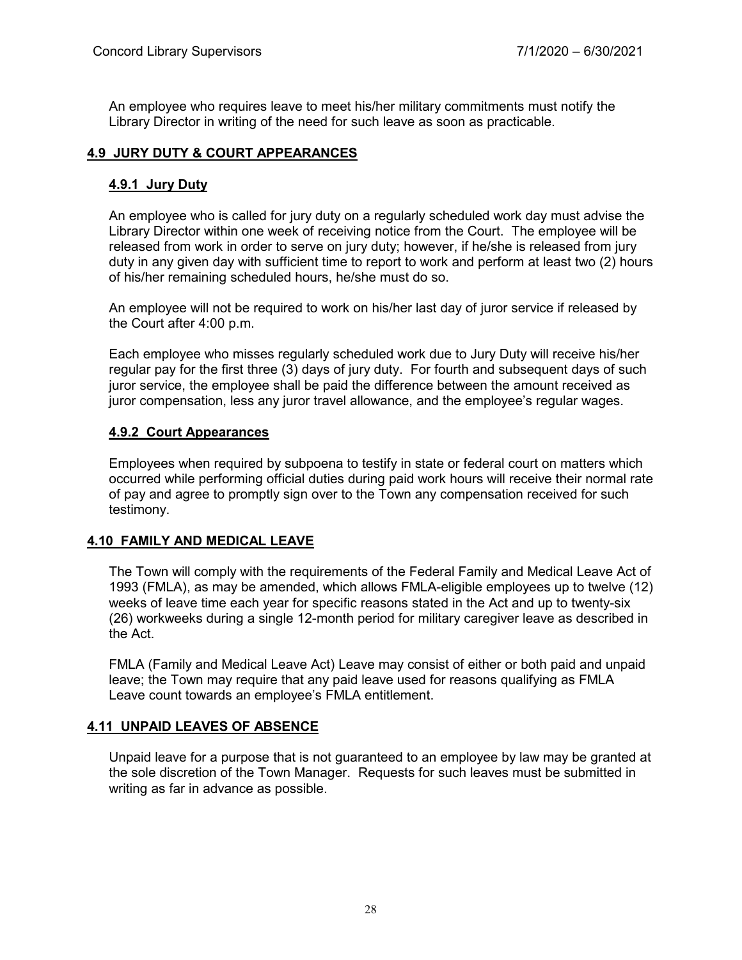An employee who requires leave to meet his/her military commitments must notify the Library Director in writing of the need for such leave as soon as practicable.

# **4.9 JURY DUTY & COURT APPEARANCES**

# **4.9.1 Jury Duty**

An employee who is called for jury duty on a regularly scheduled work day must advise the Library Director within one week of receiving notice from the Court. The employee will be released from work in order to serve on jury duty; however, if he/she is released from jury duty in any given day with sufficient time to report to work and perform at least two (2) hours of his/her remaining scheduled hours, he/she must do so.

An employee will not be required to work on his/her last day of juror service if released by the Court after 4:00 p.m.

Each employee who misses regularly scheduled work due to Jury Duty will receive his/her regular pay for the first three (3) days of jury duty. For fourth and subsequent days of such juror service, the employee shall be paid the difference between the amount received as juror compensation, less any juror travel allowance, and the employee's regular wages.

# **4.9.2 Court Appearances**

Employees when required by subpoena to testify in state or federal court on matters which occurred while performing official duties during paid work hours will receive their normal rate of pay and agree to promptly sign over to the Town any compensation received for such testimony.

#### **4.10 FAMILY AND MEDICAL LEAVE**

The Town will comply with the requirements of the Federal Family and Medical Leave Act of 1993 (FMLA), as may be amended, which allows FMLA-eligible employees up to twelve (12) weeks of leave time each year for specific reasons stated in the Act and up to twenty-six (26) workweeks during a single 12-month period for military caregiver leave as described in the Act.

FMLA (Family and Medical Leave Act) Leave may consist of either or both paid and unpaid leave; the Town may require that any paid leave used for reasons qualifying as FMLA Leave count towards an employee's FMLA entitlement.

# **4.11 UNPAID LEAVES OF ABSENCE**

Unpaid leave for a purpose that is not guaranteed to an employee by law may be granted at the sole discretion of the Town Manager. Requests for such leaves must be submitted in writing as far in advance as possible.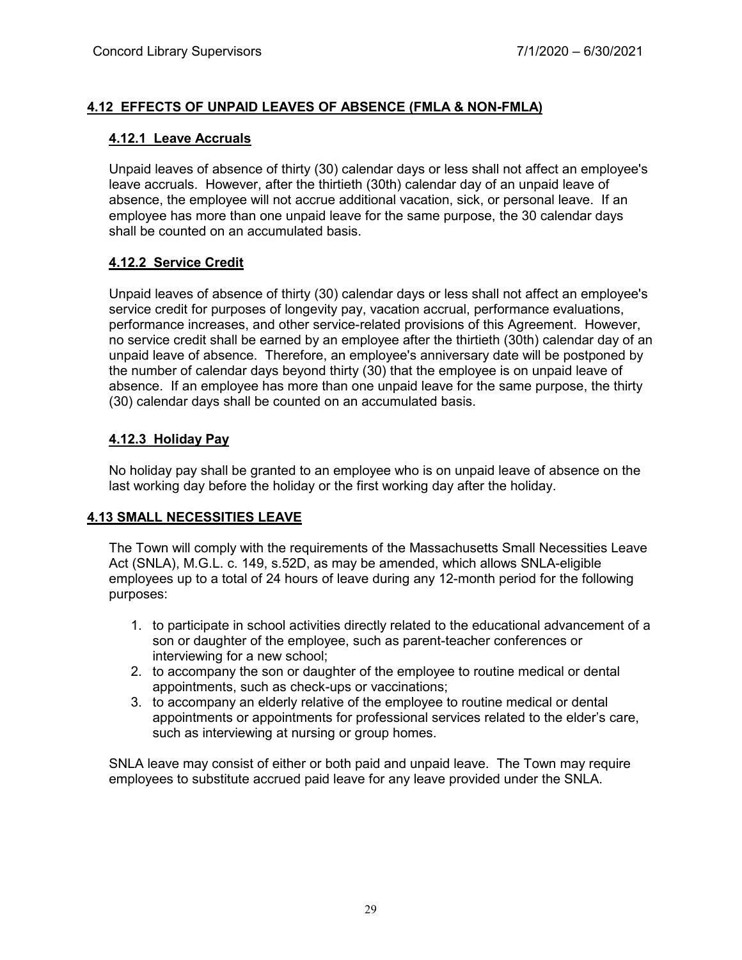# **4.12 EFFECTS OF UNPAID LEAVES OF ABSENCE (FMLA & NON-FMLA)**

#### **4.12.1 Leave Accruals**

Unpaid leaves of absence of thirty (30) calendar days or less shall not affect an employee's leave accruals. However, after the thirtieth (30th) calendar day of an unpaid leave of absence, the employee will not accrue additional vacation, sick, or personal leave. If an employee has more than one unpaid leave for the same purpose, the 30 calendar days shall be counted on an accumulated basis.

# **4.12.2 Service Credit**

Unpaid leaves of absence of thirty (30) calendar days or less shall not affect an employee's service credit for purposes of longevity pay, vacation accrual, performance evaluations, performance increases, and other service-related provisions of this Agreement. However, no service credit shall be earned by an employee after the thirtieth (30th) calendar day of an unpaid leave of absence. Therefore, an employee's anniversary date will be postponed by the number of calendar days beyond thirty (30) that the employee is on unpaid leave of absence. If an employee has more than one unpaid leave for the same purpose, the thirty (30) calendar days shall be counted on an accumulated basis.

# **4.12.3 Holiday Pay**

No holiday pay shall be granted to an employee who is on unpaid leave of absence on the last working day before the holiday or the first working day after the holiday.

# **4.13 SMALL NECESSITIES LEAVE**

The Town will comply with the requirements of the Massachusetts Small Necessities Leave Act (SNLA), M.G.L. c. 149, s.52D, as may be amended, which allows SNLA-eligible employees up to a total of 24 hours of leave during any 12-month period for the following purposes:

- 1. to participate in school activities directly related to the educational advancement of a son or daughter of the employee, such as parent-teacher conferences or interviewing for a new school;
- 2. to accompany the son or daughter of the employee to routine medical or dental appointments, such as check-ups or vaccinations;
- 3. to accompany an elderly relative of the employee to routine medical or dental appointments or appointments for professional services related to the elder's care, such as interviewing at nursing or group homes.

SNLA leave may consist of either or both paid and unpaid leave. The Town may require employees to substitute accrued paid leave for any leave provided under the SNLA.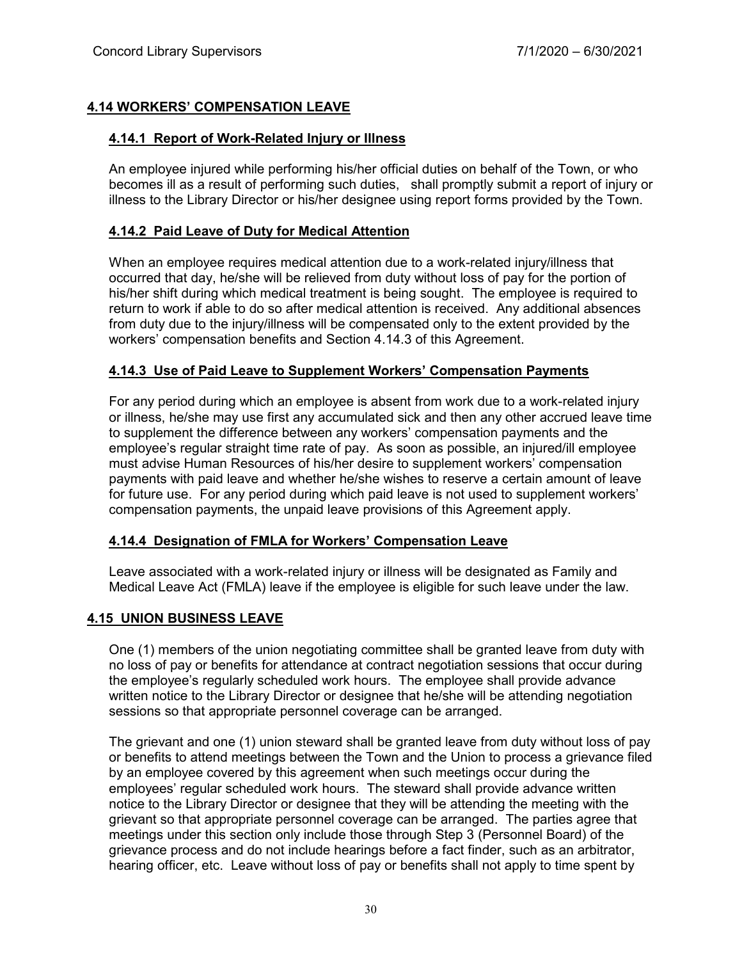# **4.14 WORKERS' COMPENSATION LEAVE**

# **4.14.1 Report of Work-Related Injury or Illness**

An employee injured while performing his/her official duties on behalf of the Town, or who becomes ill as a result of performing such duties, shall promptly submit a report of injury or illness to the Library Director or his/her designee using report forms provided by the Town.

# **4.14.2 Paid Leave of Duty for Medical Attention**

When an employee requires medical attention due to a work-related injury/illness that occurred that day, he/she will be relieved from duty without loss of pay for the portion of his/her shift during which medical treatment is being sought. The employee is required to return to work if able to do so after medical attention is received. Any additional absences from duty due to the injury/illness will be compensated only to the extent provided by the workers' compensation benefits and Section 4.14.3 of this Agreement.

# **4.14.3 Use of Paid Leave to Supplement Workers' Compensation Payments**

For any period during which an employee is absent from work due to a work-related injury or illness, he/she may use first any accumulated sick and then any other accrued leave time to supplement the difference between any workers' compensation payments and the employee's regular straight time rate of pay. As soon as possible, an injured/ill employee must advise Human Resources of his/her desire to supplement workers' compensation payments with paid leave and whether he/she wishes to reserve a certain amount of leave for future use. For any period during which paid leave is not used to supplement workers' compensation payments, the unpaid leave provisions of this Agreement apply.

# **4.14.4 Designation of FMLA for Workers' Compensation Leave**

Leave associated with a work-related injury or illness will be designated as Family and Medical Leave Act (FMLA) leave if the employee is eligible for such leave under the law.

# **4.15 UNION BUSINESS LEAVE**

One (1) members of the union negotiating committee shall be granted leave from duty with no loss of pay or benefits for attendance at contract negotiation sessions that occur during the employee's regularly scheduled work hours. The employee shall provide advance written notice to the Library Director or designee that he/she will be attending negotiation sessions so that appropriate personnel coverage can be arranged.

The grievant and one (1) union steward shall be granted leave from duty without loss of pay or benefits to attend meetings between the Town and the Union to process a grievance filed by an employee covered by this agreement when such meetings occur during the employees' regular scheduled work hours. The steward shall provide advance written notice to the Library Director or designee that they will be attending the meeting with the grievant so that appropriate personnel coverage can be arranged. The parties agree that meetings under this section only include those through Step 3 (Personnel Board) of the grievance process and do not include hearings before a fact finder, such as an arbitrator, hearing officer, etc. Leave without loss of pay or benefits shall not apply to time spent by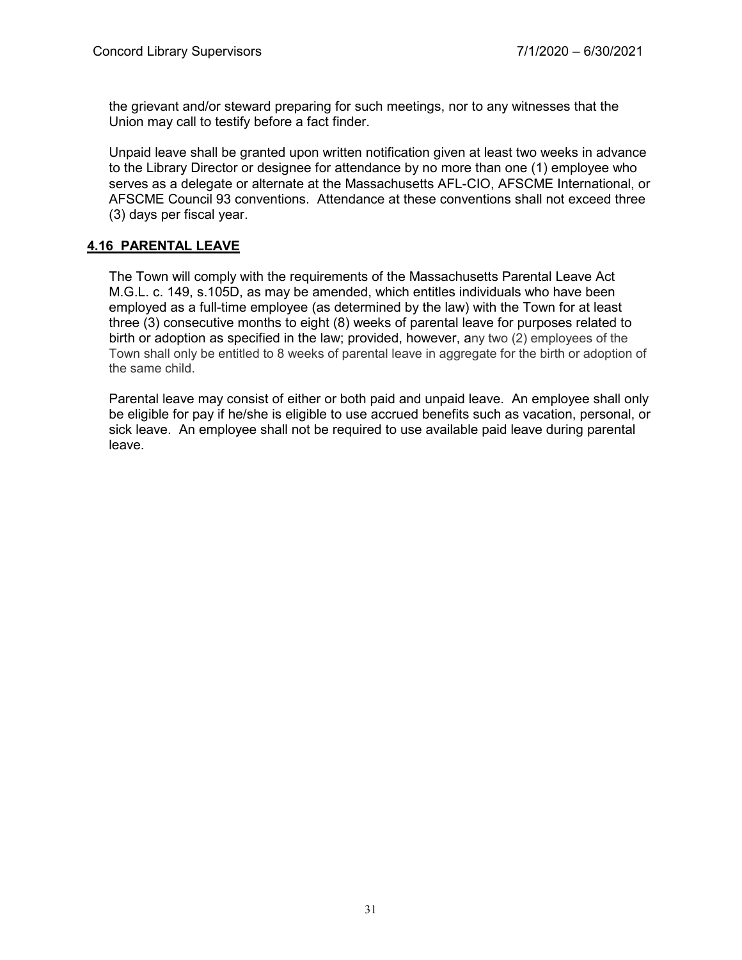the grievant and/or steward preparing for such meetings, nor to any witnesses that the Union may call to testify before a fact finder.

Unpaid leave shall be granted upon written notification given at least two weeks in advance to the Library Director or designee for attendance by no more than one (1) employee who serves as a delegate or alternate at the Massachusetts AFL-CIO, AFSCME International, or AFSCME Council 93 conventions. Attendance at these conventions shall not exceed three (3) days per fiscal year.

# **4.16 PARENTAL LEAVE**

The Town will comply with the requirements of the Massachusetts Parental Leave Act M.G.L. c. 149, s.105D, as may be amended, which entitles individuals who have been employed as a full-time employee (as determined by the law) with the Town for at least three (3) consecutive months to eight (8) weeks of parental leave for purposes related to birth or adoption as specified in the law; provided, however, any two (2) employees of the Town shall only be entitled to 8 weeks of parental leave in aggregate for the birth or adoption of the same child.

Parental leave may consist of either or both paid and unpaid leave. An employee shall only be eligible for pay if he/she is eligible to use accrued benefits such as vacation, personal, or sick leave. An employee shall not be required to use available paid leave during parental leave.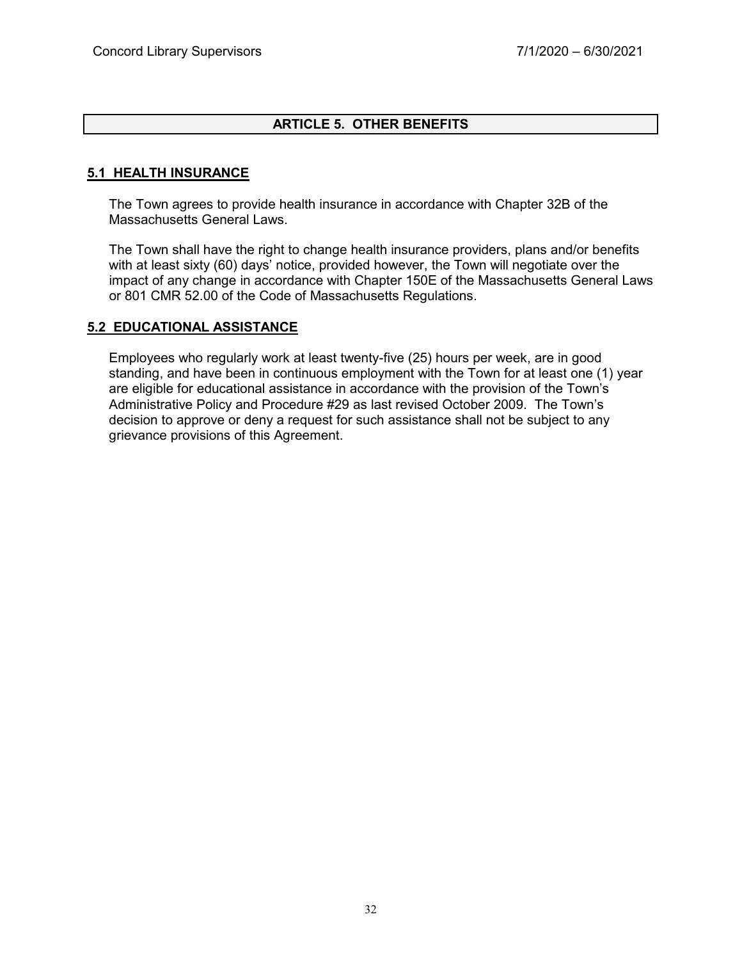# **ARTICLE 5. OTHER BENEFITS**

#### **5.1 HEALTH INSURANCE**

The Town agrees to provide health insurance in accordance with Chapter 32B of the Massachusetts General Laws.

The Town shall have the right to change health insurance providers, plans and/or benefits with at least sixty (60) days' notice, provided however, the Town will negotiate over the impact of any change in accordance with Chapter 150E of the Massachusetts General Laws or 801 CMR 52.00 of the Code of Massachusetts Regulations.

#### **5.2 EDUCATIONAL ASSISTANCE**

Employees who regularly work at least twenty-five (25) hours per week, are in good standing, and have been in continuous employment with the Town for at least one (1) year are eligible for educational assistance in accordance with the provision of the Town's Administrative Policy and Procedure #29 as last revised October 2009. The Town's decision to approve or deny a request for such assistance shall not be subject to any grievance provisions of this Agreement.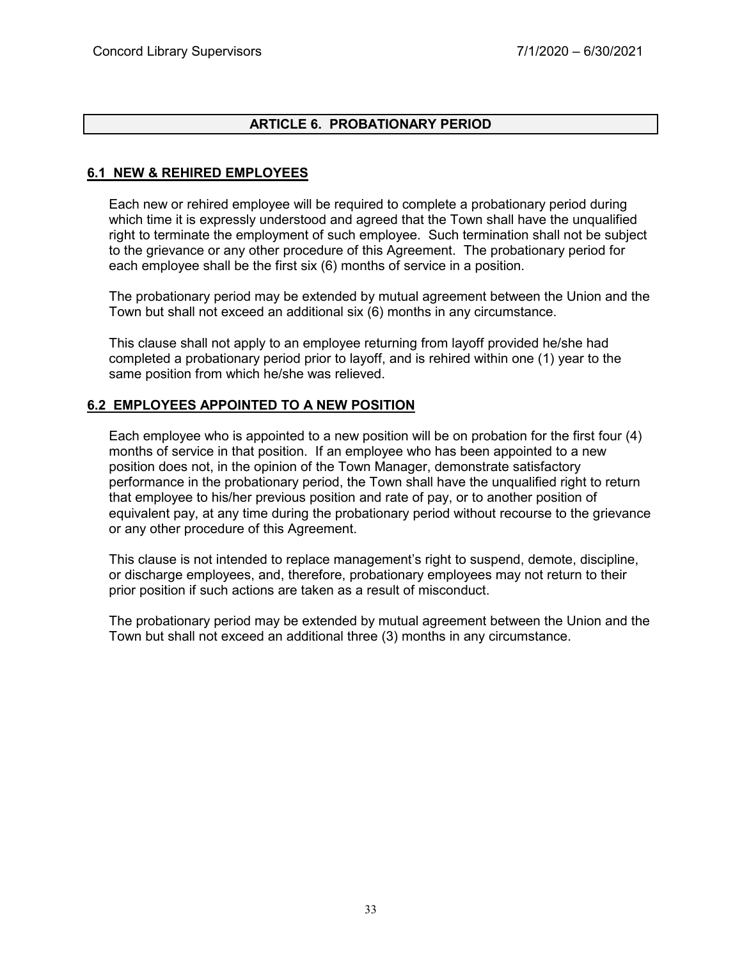# **ARTICLE 6. PROBATIONARY PERIOD**

# **6.1 NEW & REHIRED EMPLOYEES**

Each new or rehired employee will be required to complete a probationary period during which time it is expressly understood and agreed that the Town shall have the unqualified right to terminate the employment of such employee. Such termination shall not be subject to the grievance or any other procedure of this Agreement. The probationary period for each employee shall be the first six (6) months of service in a position.

The probationary period may be extended by mutual agreement between the Union and the Town but shall not exceed an additional six (6) months in any circumstance.

This clause shall not apply to an employee returning from layoff provided he/she had completed a probationary period prior to layoff, and is rehired within one (1) year to the same position from which he/she was relieved.

# **6.2 EMPLOYEES APPOINTED TO A NEW POSITION**

Each employee who is appointed to a new position will be on probation for the first four (4) months of service in that position. If an employee who has been appointed to a new position does not, in the opinion of the Town Manager, demonstrate satisfactory performance in the probationary period, the Town shall have the unqualified right to return that employee to his/her previous position and rate of pay, or to another position of equivalent pay, at any time during the probationary period without recourse to the grievance or any other procedure of this Agreement.

This clause is not intended to replace management's right to suspend, demote, discipline, or discharge employees, and, therefore, probationary employees may not return to their prior position if such actions are taken as a result of misconduct.

The probationary period may be extended by mutual agreement between the Union and the Town but shall not exceed an additional three (3) months in any circumstance.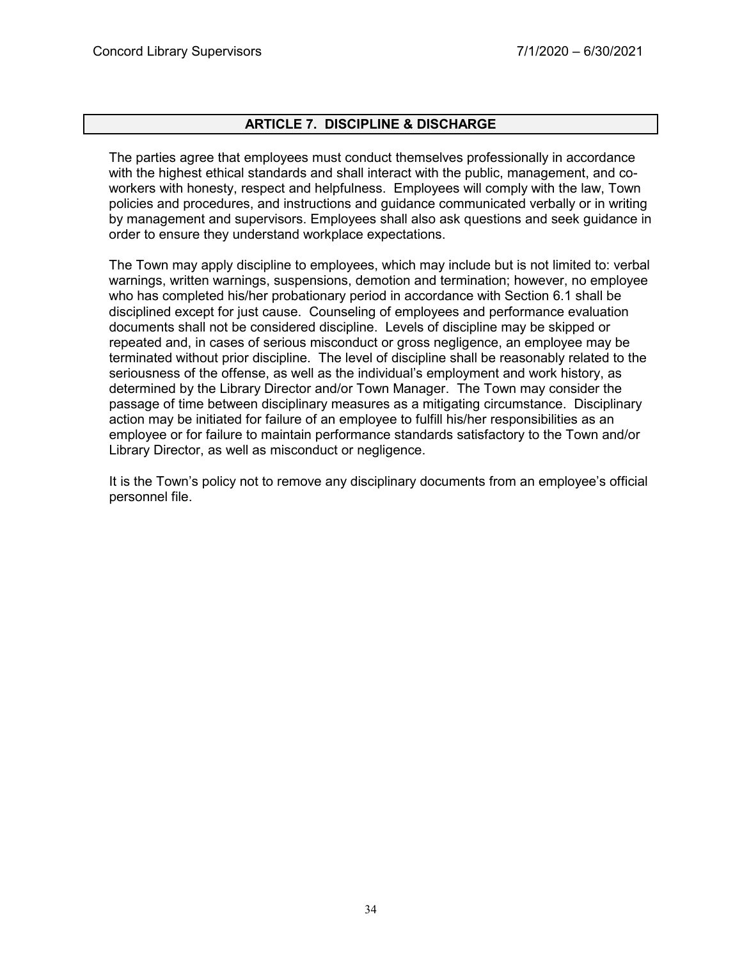# **ARTICLE 7. DISCIPLINE & DISCHARGE**

The parties agree that employees must conduct themselves professionally in accordance with the highest ethical standards and shall interact with the public, management, and coworkers with honesty, respect and helpfulness. Employees will comply with the law, Town policies and procedures, and instructions and guidance communicated verbally or in writing by management and supervisors. Employees shall also ask questions and seek guidance in order to ensure they understand workplace expectations.

The Town may apply discipline to employees, which may include but is not limited to: verbal warnings, written warnings, suspensions, demotion and termination; however, no employee who has completed his/her probationary period in accordance with Section 6.1 shall be disciplined except for just cause. Counseling of employees and performance evaluation documents shall not be considered discipline. Levels of discipline may be skipped or repeated and, in cases of serious misconduct or gross negligence, an employee may be terminated without prior discipline. The level of discipline shall be reasonably related to the seriousness of the offense, as well as the individual's employment and work history, as determined by the Library Director and/or Town Manager. The Town may consider the passage of time between disciplinary measures as a mitigating circumstance. Disciplinary action may be initiated for failure of an employee to fulfill his/her responsibilities as an employee or for failure to maintain performance standards satisfactory to the Town and/or Library Director, as well as misconduct or negligence.

It is the Town's policy not to remove any disciplinary documents from an employee's official personnel file.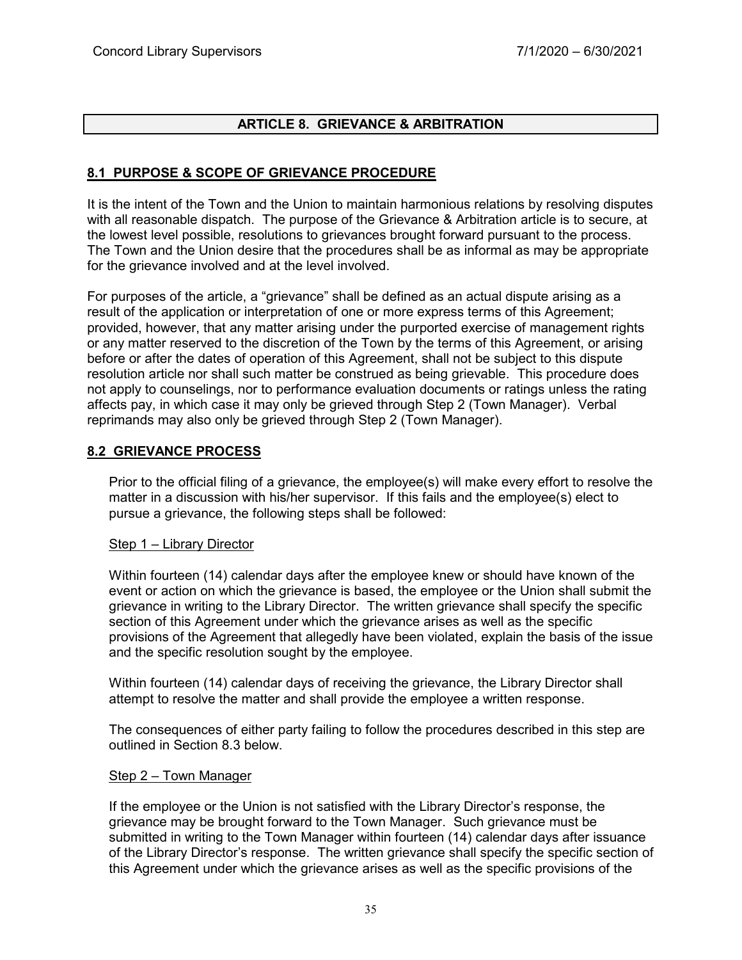# **ARTICLE 8. GRIEVANCE & ARBITRATION**

# **8.1 PURPOSE & SCOPE OF GRIEVANCE PROCEDURE**

It is the intent of the Town and the Union to maintain harmonious relations by resolving disputes with all reasonable dispatch. The purpose of the Grievance & Arbitration article is to secure, at the lowest level possible, resolutions to grievances brought forward pursuant to the process. The Town and the Union desire that the procedures shall be as informal as may be appropriate for the grievance involved and at the level involved.

For purposes of the article, a "grievance" shall be defined as an actual dispute arising as a result of the application or interpretation of one or more express terms of this Agreement; provided, however, that any matter arising under the purported exercise of management rights or any matter reserved to the discretion of the Town by the terms of this Agreement, or arising before or after the dates of operation of this Agreement, shall not be subject to this dispute resolution article nor shall such matter be construed as being grievable. This procedure does not apply to counselings, nor to performance evaluation documents or ratings unless the rating affects pay, in which case it may only be grieved through Step 2 (Town Manager). Verbal reprimands may also only be grieved through Step 2 (Town Manager).

# **8.2 GRIEVANCE PROCESS**

Prior to the official filing of a grievance, the employee(s) will make every effort to resolve the matter in a discussion with his/her supervisor. If this fails and the employee(s) elect to pursue a grievance, the following steps shall be followed:

#### Step 1 – Library Director

Within fourteen (14) calendar days after the employee knew or should have known of the event or action on which the grievance is based, the employee or the Union shall submit the grievance in writing to the Library Director. The written grievance shall specify the specific section of this Agreement under which the grievance arises as well as the specific provisions of the Agreement that allegedly have been violated, explain the basis of the issue and the specific resolution sought by the employee.

Within fourteen (14) calendar days of receiving the grievance, the Library Director shall attempt to resolve the matter and shall provide the employee a written response.

The consequences of either party failing to follow the procedures described in this step are outlined in Section 8.3 below.

#### Step 2 – Town Manager

If the employee or the Union is not satisfied with the Library Director's response, the grievance may be brought forward to the Town Manager. Such grievance must be submitted in writing to the Town Manager within fourteen (14) calendar days after issuance of the Library Director's response. The written grievance shall specify the specific section of this Agreement under which the grievance arises as well as the specific provisions of the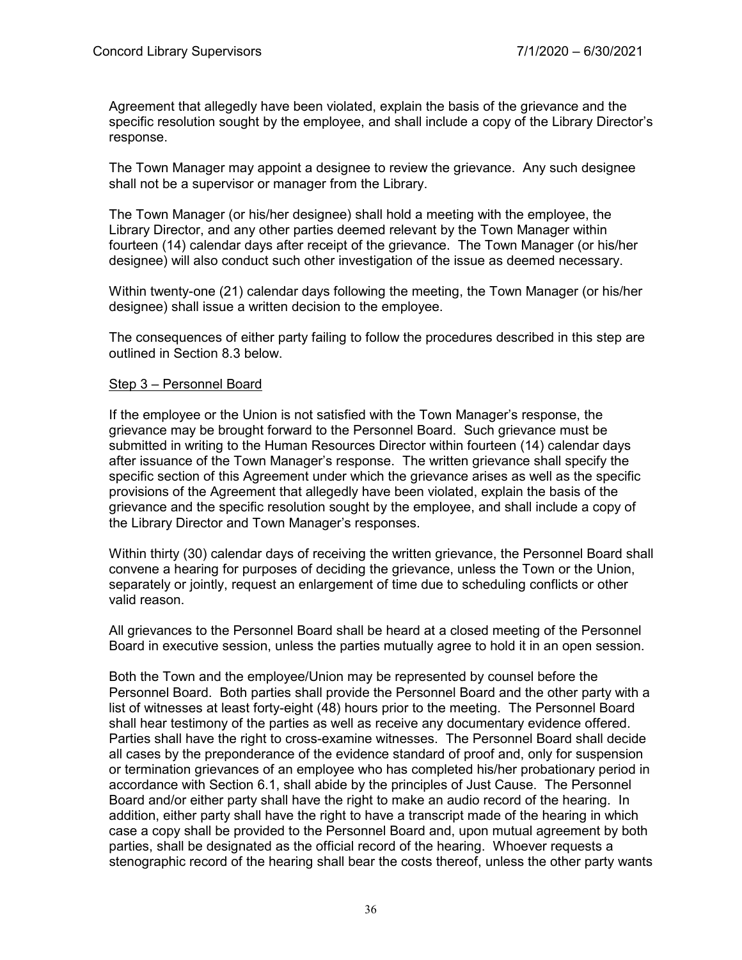Agreement that allegedly have been violated, explain the basis of the grievance and the specific resolution sought by the employee, and shall include a copy of the Library Director's response.

The Town Manager may appoint a designee to review the grievance. Any such designee shall not be a supervisor or manager from the Library.

The Town Manager (or his/her designee) shall hold a meeting with the employee, the Library Director, and any other parties deemed relevant by the Town Manager within fourteen (14) calendar days after receipt of the grievance. The Town Manager (or his/her designee) will also conduct such other investigation of the issue as deemed necessary.

Within twenty-one (21) calendar days following the meeting, the Town Manager (or his/her designee) shall issue a written decision to the employee.

The consequences of either party failing to follow the procedures described in this step are outlined in Section 8.3 below.

#### Step 3 – Personnel Board

If the employee or the Union is not satisfied with the Town Manager's response, the grievance may be brought forward to the Personnel Board. Such grievance must be submitted in writing to the Human Resources Director within fourteen (14) calendar days after issuance of the Town Manager's response. The written grievance shall specify the specific section of this Agreement under which the grievance arises as well as the specific provisions of the Agreement that allegedly have been violated, explain the basis of the grievance and the specific resolution sought by the employee, and shall include a copy of the Library Director and Town Manager's responses.

Within thirty (30) calendar days of receiving the written grievance, the Personnel Board shall convene a hearing for purposes of deciding the grievance, unless the Town or the Union, separately or jointly, request an enlargement of time due to scheduling conflicts or other valid reason.

All grievances to the Personnel Board shall be heard at a closed meeting of the Personnel Board in executive session, unless the parties mutually agree to hold it in an open session.

Both the Town and the employee/Union may be represented by counsel before the Personnel Board. Both parties shall provide the Personnel Board and the other party with a list of witnesses at least forty-eight (48) hours prior to the meeting. The Personnel Board shall hear testimony of the parties as well as receive any documentary evidence offered. Parties shall have the right to cross-examine witnesses. The Personnel Board shall decide all cases by the preponderance of the evidence standard of proof and, only for suspension or termination grievances of an employee who has completed his/her probationary period in accordance with Section 6.1, shall abide by the principles of Just Cause. The Personnel Board and/or either party shall have the right to make an audio record of the hearing. In addition, either party shall have the right to have a transcript made of the hearing in which case a copy shall be provided to the Personnel Board and, upon mutual agreement by both parties, shall be designated as the official record of the hearing. Whoever requests a stenographic record of the hearing shall bear the costs thereof, unless the other party wants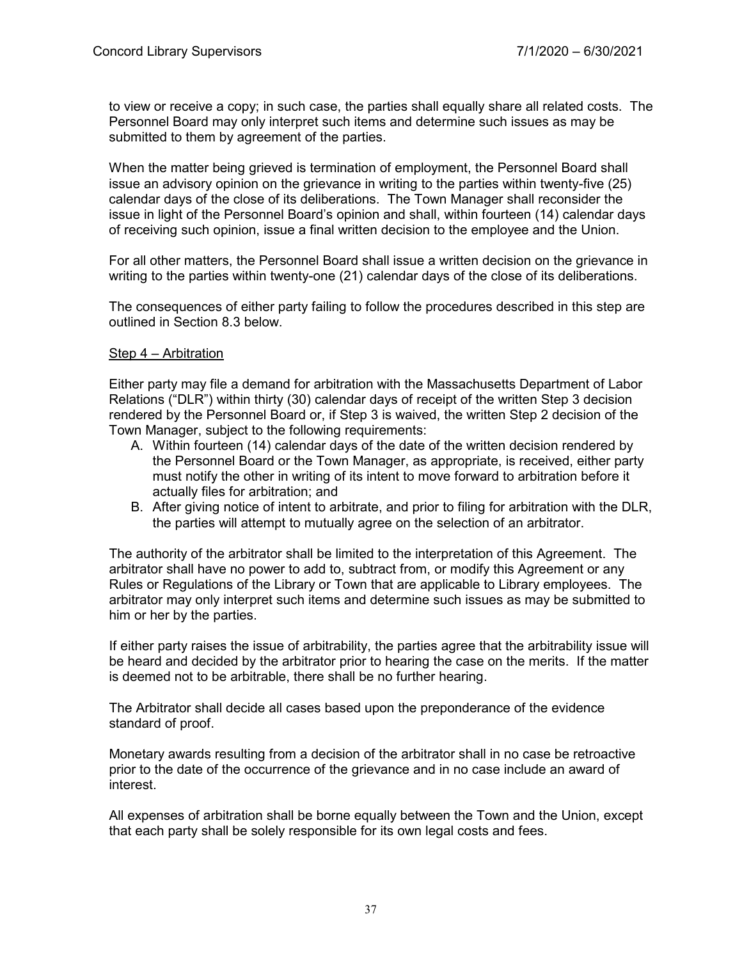to view or receive a copy; in such case, the parties shall equally share all related costs. The Personnel Board may only interpret such items and determine such issues as may be submitted to them by agreement of the parties.

When the matter being grieved is termination of employment, the Personnel Board shall issue an advisory opinion on the grievance in writing to the parties within twenty-five (25) calendar days of the close of its deliberations. The Town Manager shall reconsider the issue in light of the Personnel Board's opinion and shall, within fourteen (14) calendar days of receiving such opinion, issue a final written decision to the employee and the Union.

For all other matters, the Personnel Board shall issue a written decision on the grievance in writing to the parties within twenty-one (21) calendar days of the close of its deliberations.

The consequences of either party failing to follow the procedures described in this step are outlined in Section 8.3 below.

#### Step 4 – Arbitration

Either party may file a demand for arbitration with the Massachusetts Department of Labor Relations ("DLR") within thirty (30) calendar days of receipt of the written Step 3 decision rendered by the Personnel Board or, if Step 3 is waived, the written Step 2 decision of the Town Manager, subject to the following requirements:

- A. Within fourteen (14) calendar days of the date of the written decision rendered by the Personnel Board or the Town Manager, as appropriate, is received, either party must notify the other in writing of its intent to move forward to arbitration before it actually files for arbitration; and
- B. After giving notice of intent to arbitrate, and prior to filing for arbitration with the DLR, the parties will attempt to mutually agree on the selection of an arbitrator.

The authority of the arbitrator shall be limited to the interpretation of this Agreement. The arbitrator shall have no power to add to, subtract from, or modify this Agreement or any Rules or Regulations of the Library or Town that are applicable to Library employees. The arbitrator may only interpret such items and determine such issues as may be submitted to him or her by the parties.

If either party raises the issue of arbitrability, the parties agree that the arbitrability issue will be heard and decided by the arbitrator prior to hearing the case on the merits. If the matter is deemed not to be arbitrable, there shall be no further hearing.

The Arbitrator shall decide all cases based upon the preponderance of the evidence standard of proof.

Monetary awards resulting from a decision of the arbitrator shall in no case be retroactive prior to the date of the occurrence of the grievance and in no case include an award of interest.

All expenses of arbitration shall be borne equally between the Town and the Union, except that each party shall be solely responsible for its own legal costs and fees.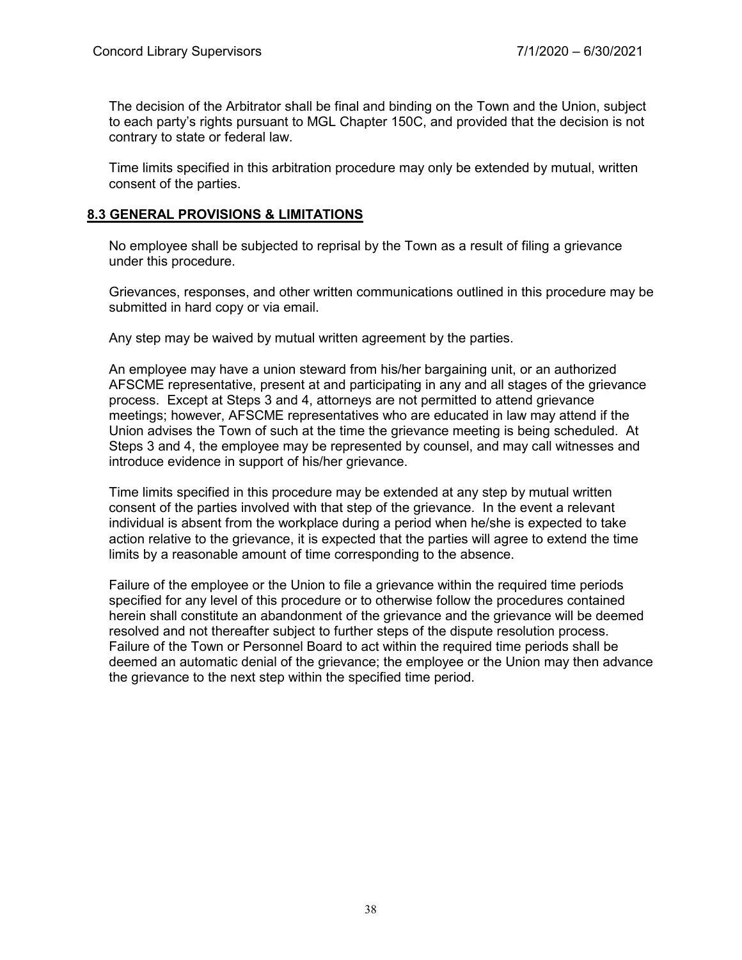The decision of the Arbitrator shall be final and binding on the Town and the Union, subject to each party's rights pursuant to MGL Chapter 150C, and provided that the decision is not contrary to state or federal law.

Time limits specified in this arbitration procedure may only be extended by mutual, written consent of the parties.

# **8.3 GENERAL PROVISIONS & LIMITATIONS**

No employee shall be subjected to reprisal by the Town as a result of filing a grievance under this procedure.

Grievances, responses, and other written communications outlined in this procedure may be submitted in hard copy or via email.

Any step may be waived by mutual written agreement by the parties.

An employee may have a union steward from his/her bargaining unit, or an authorized AFSCME representative, present at and participating in any and all stages of the grievance process. Except at Steps 3 and 4, attorneys are not permitted to attend grievance meetings; however, AFSCME representatives who are educated in law may attend if the Union advises the Town of such at the time the grievance meeting is being scheduled. At Steps 3 and 4, the employee may be represented by counsel, and may call witnesses and introduce evidence in support of his/her grievance.

Time limits specified in this procedure may be extended at any step by mutual written consent of the parties involved with that step of the grievance. In the event a relevant individual is absent from the workplace during a period when he/she is expected to take action relative to the grievance, it is expected that the parties will agree to extend the time limits by a reasonable amount of time corresponding to the absence.

Failure of the employee or the Union to file a grievance within the required time periods specified for any level of this procedure or to otherwise follow the procedures contained herein shall constitute an abandonment of the grievance and the grievance will be deemed resolved and not thereafter subject to further steps of the dispute resolution process. Failure of the Town or Personnel Board to act within the required time periods shall be deemed an automatic denial of the grievance; the employee or the Union may then advance the grievance to the next step within the specified time period.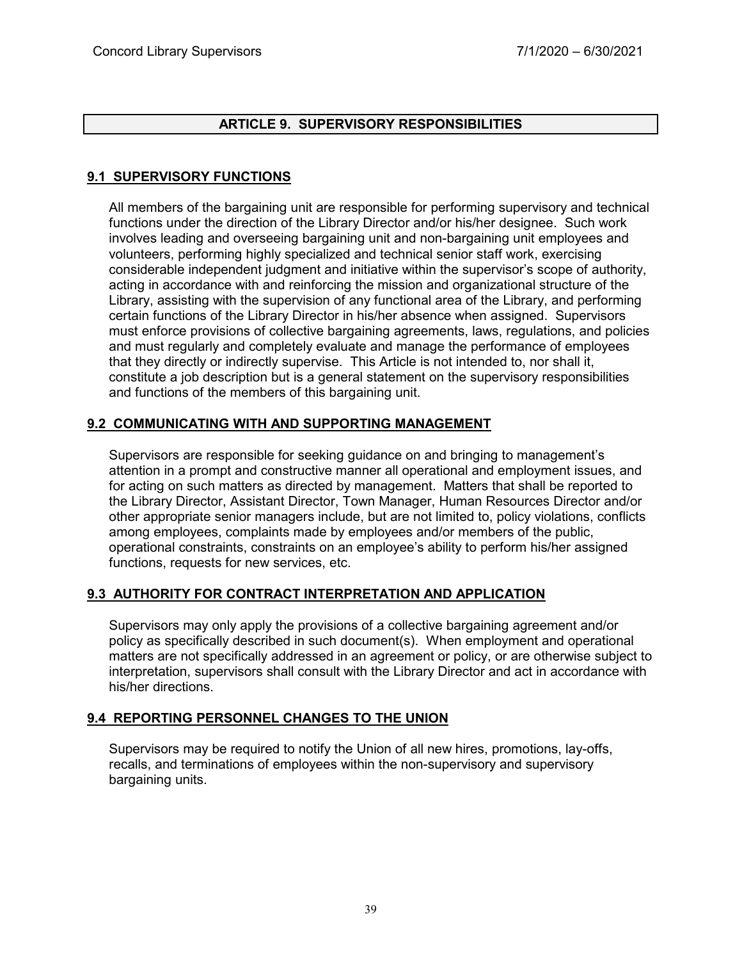# **ARTICLE 9. SUPERVISORY RESPONSIBILITIES**

# **9.1 SUPERVISORY FUNCTIONS**

All members of the bargaining unit are responsible for performing supervisory and technical functions under the direction of the Library Director and/or his/her designee. Such work involves leading and overseeing bargaining unit and non-bargaining unit employees and volunteers, performing highly specialized and technical senior staff work, exercising considerable independent judgment and initiative within the supervisor's scope of authority, acting in accordance with and reinforcing the mission and organizational structure of the Library, assisting with the supervision of any functional area of the Library, and performing certain functions of the Library Director in his/her absence when assigned. Supervisors must enforce provisions of collective bargaining agreements, laws, regulations, and policies and must regularly and completely evaluate and manage the performance of employees that they directly or indirectly supervise. This Article is not intended to, nor shall it, constitute a job description but is a general statement on the supervisory responsibilities and functions of the members of this bargaining unit.

# **9.2 COMMUNICATING WITH AND SUPPORTING MANAGEMENT**

Supervisors are responsible for seeking guidance on and bringing to management's attention in a prompt and constructive manner all operational and employment issues, and for acting on such matters as directed by management. Matters that shall be reported to the Library Director, Assistant Director, Town Manager, Human Resources Director and/or other appropriate senior managers include, but are not limited to, policy violations, conflicts among employees, complaints made by employees and/or members of the public, operational constraints, constraints on an employee's ability to perform his/her assigned functions, requests for new services, etc.

# **9.3 AUTHORITY FOR CONTRACT INTERPRETATION AND APPLICATION**

Supervisors may only apply the provisions of a collective bargaining agreement and/or policy as specifically described in such document(s). When employment and operational matters are not specifically addressed in an agreement or policy, or are otherwise subject to interpretation, supervisors shall consult with the Library Director and act in accordance with his/her directions.

#### **9.4 REPORTING PERSONNEL CHANGES TO THE UNION**

Supervisors may be required to notify the Union of all new hires, promotions, lay-offs, recalls, and terminations of employees within the non-supervisory and supervisory bargaining units.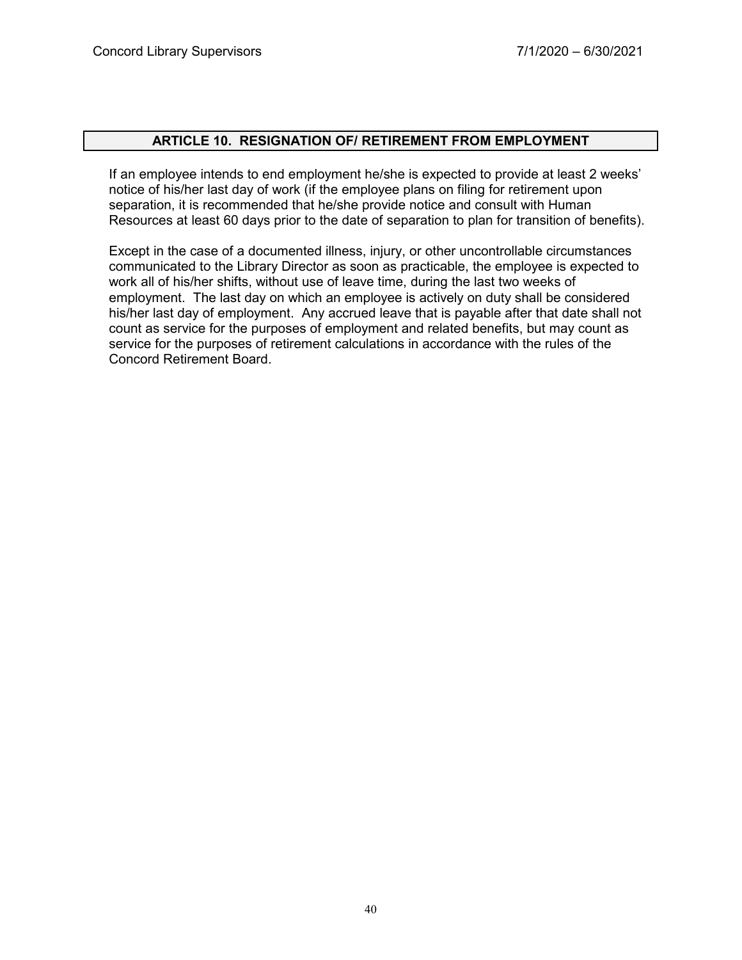#### **ARTICLE 10. RESIGNATION OF/ RETIREMENT FROM EMPLOYMENT**

If an employee intends to end employment he/she is expected to provide at least 2 weeks' notice of his/her last day of work (if the employee plans on filing for retirement upon separation, it is recommended that he/she provide notice and consult with Human Resources at least 60 days prior to the date of separation to plan for transition of benefits).

Except in the case of a documented illness, injury, or other uncontrollable circumstances communicated to the Library Director as soon as practicable, the employee is expected to work all of his/her shifts, without use of leave time, during the last two weeks of employment. The last day on which an employee is actively on duty shall be considered his/her last day of employment. Any accrued leave that is payable after that date shall not count as service for the purposes of employment and related benefits, but may count as service for the purposes of retirement calculations in accordance with the rules of the Concord Retirement Board.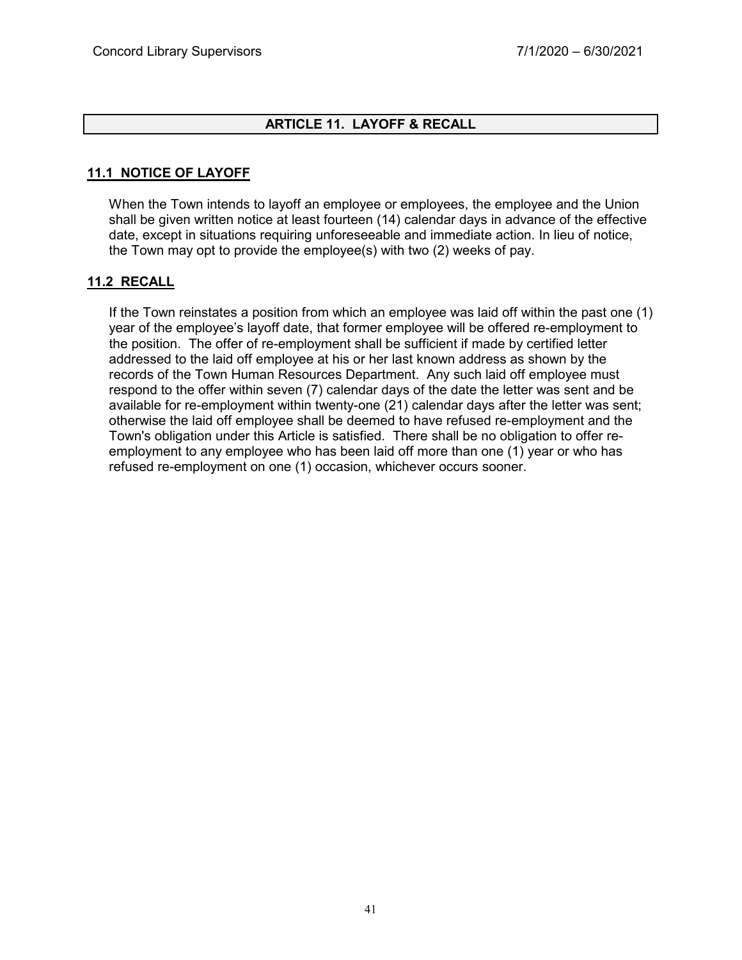# **ARTICLE 11. LAYOFF & RECALL**

# **11.1 NOTICE OF LAYOFF**

When the Town intends to layoff an employee or employees, the employee and the Union shall be given written notice at least fourteen (14) calendar days in advance of the effective date, except in situations requiring unforeseeable and immediate action. In lieu of notice, the Town may opt to provide the employee(s) with two (2) weeks of pay.

#### **11.2 RECALL**

If the Town reinstates a position from which an employee was laid off within the past one (1) year of the employee's layoff date, that former employee will be offered re-employment to the position. The offer of re-employment shall be sufficient if made by certified letter addressed to the laid off employee at his or her last known address as shown by the records of the Town Human Resources Department. Any such laid off employee must respond to the offer within seven (7) calendar days of the date the letter was sent and be available for re-employment within twenty-one (21) calendar days after the letter was sent; otherwise the laid off employee shall be deemed to have refused re-employment and the Town's obligation under this Article is satisfied. There shall be no obligation to offer reemployment to any employee who has been laid off more than one (1) year or who has refused re-employment on one (1) occasion, whichever occurs sooner.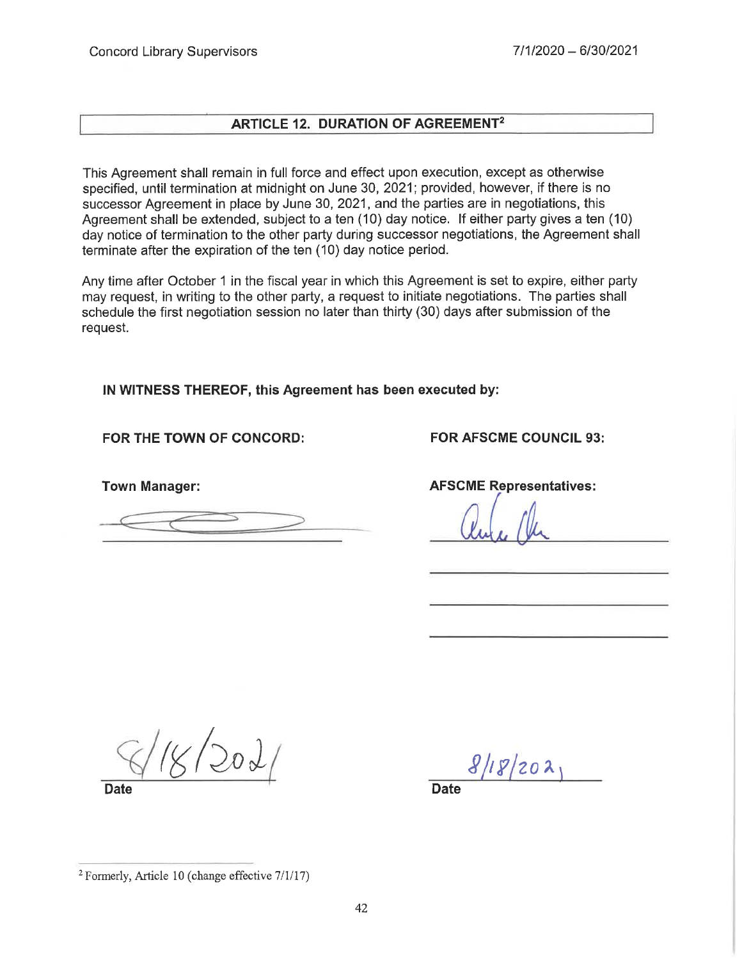# **ARTICLE 12. DURATION OF AGREEMENT<sup>2</sup>**

This Agreement shall remain in full force and effect upon execution, except as otherwise specified, until termination at midnight on June 30, 2021; provided, however, if there is no successor Agreement in place by June 30, 2021, and the parties are in negotiations, this Agreement shall be extended, subject to a ten (10) day notice. If either party gives a ten (10) day notice of termination to the other party during successor negotiations, the Agreement shall terminate after the expiration of the ten (10) day notice period.

Any time after October 1 in the fiscal year in which this Agreement is set to expire, either party may request, in writing to the other party, a request to initiate negotiations. The parties shall schedule the first negotiation session no later than thirty (30) days after submission of the request.

IN WITNESS THEREOF, this Agreement has been executed by:

# FOR THE TOWN OF CONCORD:

**Town Manager:** 

**FOR AFSCME COUNCIL 93:** 

**AFSCME Representatives:** 

 $\sqrt{20}$ 

**Date** 

 $8/18/202$ 

**Date** 

<sup>&</sup>lt;sup>2</sup> Formerly, Article 10 (change effective 7/1/17)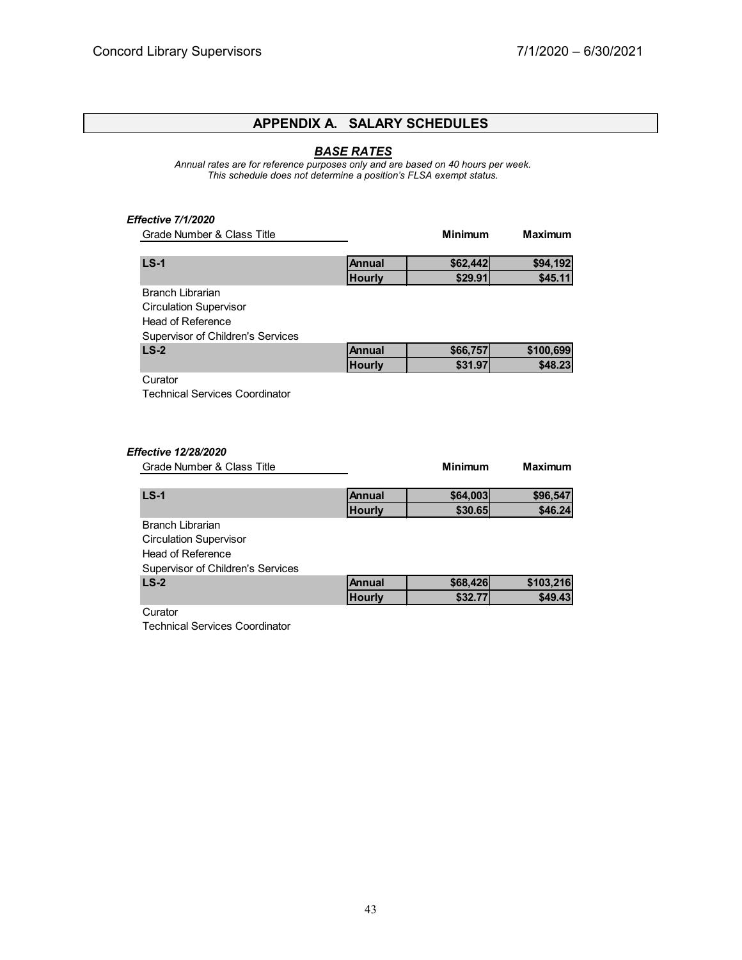# **APPENDIX A. SALARY SCHEDULES**

#### *BASE RATES*

*Annual rates are for reference purposes only and are based on 40 hours per week. This schedule does not determine a position's FLSA exempt status.*

#### *Effective 7/1/2020*

| Grade Number & Class Title            |               | <b>Minimum</b> | <b>Maximum</b> |
|---------------------------------------|---------------|----------------|----------------|
| $LS-1$                                | <b>Annual</b> | \$62,442       | \$94,192       |
|                                       | <b>Hourly</b> | \$29.91        | \$45.11        |
| Branch Librarian                      |               |                |                |
| <b>Circulation Supervisor</b>         |               |                |                |
| Head of Reference                     |               |                |                |
| Supervisor of Children's Services     |               |                |                |
| $LS-2$                                | Annual        | \$66,757       | \$100,699      |
|                                       | <b>Hourly</b> | \$31.97        | \$48.23        |
| Curator                               |               |                |                |
| <b>Technical Services Coordinator</b> |               |                |                |
|                                       |               |                |                |
|                                       |               |                |                |
|                                       |               |                |                |
| Effective 12/28/2020                  |               |                |                |

| Grade Number & Class Title        |               | <b>Minimum</b> | <b>Maximum</b> |
|-----------------------------------|---------------|----------------|----------------|
| $LS-1$                            | <b>Annual</b> | \$64,003       | \$96,547       |
|                                   | <b>Hourly</b> | \$30.65        | \$46.24        |
| Branch Librarian                  |               |                |                |
| <b>Circulation Supervisor</b>     |               |                |                |
| Head of Reference                 |               |                |                |
| Supervisor of Children's Services |               |                |                |
| $LS-2$                            | <b>Annual</b> | \$68,426       | \$103,216      |
|                                   | <b>Hourly</b> | \$32.77        | \$49.43        |
| Curator                           |               |                |                |

Technical Services Coordinator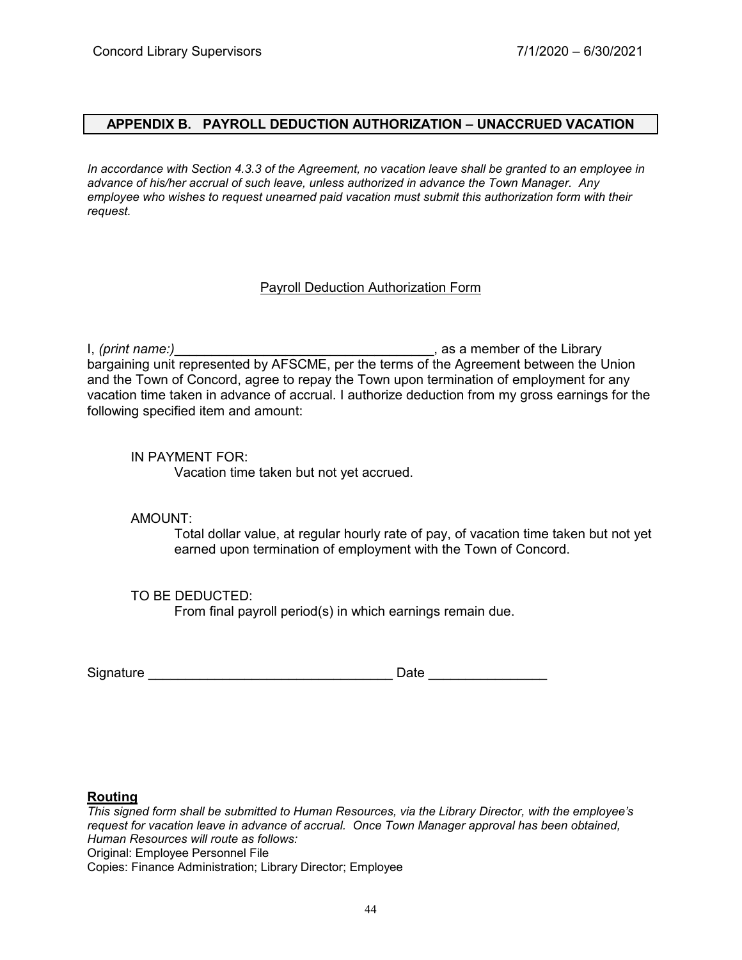#### **APPENDIX B. PAYROLL DEDUCTION AUTHORIZATION – UNACCRUED VACATION**

*In accordance with Section 4.3.3 of the Agreement, no vacation leave shall be granted to an employee in advance of his/her accrual of such leave, unless authorized in advance the Town Manager. Any employee who wishes to request unearned paid vacation must submit this authorization form with their request.*

#### Payroll Deduction Authorization Form

I, *(print name:)* The same of the Library state of the Library state of the Library bargaining unit represented by AFSCME, per the terms of the Agreement between the Union and the Town of Concord, agree to repay the Town upon termination of employment for any vacation time taken in advance of accrual. I authorize deduction from my gross earnings for the following specified item and amount:

#### IN PAYMENT FOR:

Vacation time taken but not yet accrued.

AMOUNT:

Total dollar value, at regular hourly rate of pay, of vacation time taken but not yet earned upon termination of employment with the Town of Concord.

#### TO BE DEDUCTED:

From final payroll period(s) in which earnings remain due.

| Signature | Date |
|-----------|------|
|           |      |

#### **Routing**

*This signed form shall be submitted to Human Resources, via the Library Director, with the employee's request for vacation leave in advance of accrual. Once Town Manager approval has been obtained, Human Resources will route as follows:* Original: Employee Personnel File Copies: Finance Administration; Library Director; Employee